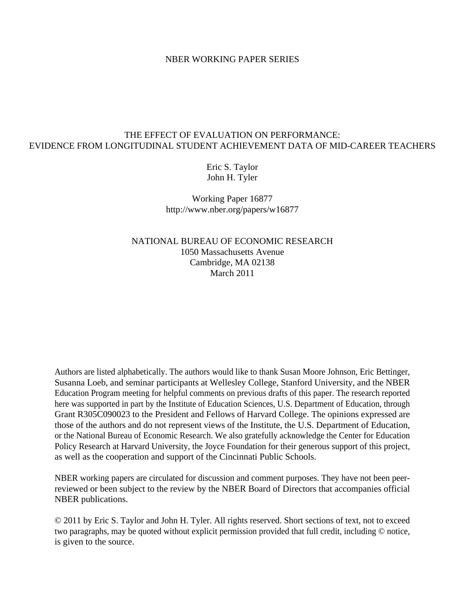## NBER WORKING PAPER SERIES

# THE EFFECT OF EVALUATION ON PERFORMANCE: EVIDENCE FROM LONGITUDINAL STUDENT ACHIEVEMENT DATA OF MID-CAREER TEACHERS

Eric S. Taylor John H. Tyler

Working Paper 16877 http://www.nber.org/papers/w16877

NATIONAL BUREAU OF ECONOMIC RESEARCH 1050 Massachusetts Avenue Cambridge, MA 02138 March 2011

Authors are listed alphabetically. The authors would like to thank Susan Moore Johnson, Eric Bettinger, Susanna Loeb, and seminar participants at Wellesley College, Stanford University, and the NBER Education Program meeting for helpful comments on previous drafts of this paper. The research reported here was supported in part by the Institute of Education Sciences, U.S. Department of Education, through Grant R305C090023 to the President and Fellows of Harvard College. The opinions expressed are those of the authors and do not represent views of the Institute, the U.S. Department of Education, or the National Bureau of Economic Research. We also gratefully acknowledge the Center for Education Policy Research at Harvard University, the Joyce Foundation for their generous support of this project, as well as the cooperation and support of the Cincinnati Public Schools.

NBER working papers are circulated for discussion and comment purposes. They have not been peerreviewed or been subject to the review by the NBER Board of Directors that accompanies official NBER publications.

© 2011 by Eric S. Taylor and John H. Tyler. All rights reserved. Short sections of text, not to exceed two paragraphs, may be quoted without explicit permission provided that full credit, including © notice, is given to the source.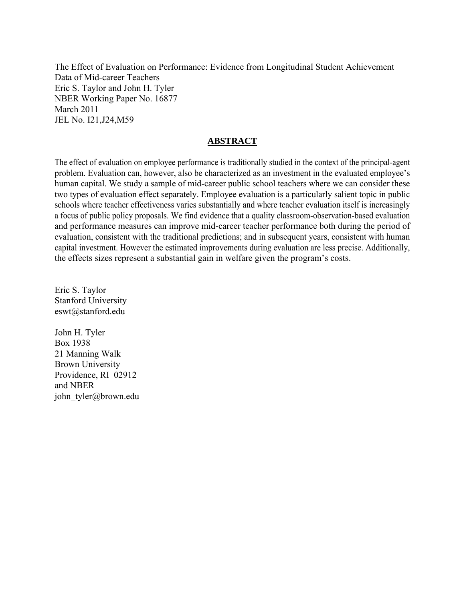The Effect of Evaluation on Performance: Evidence from Longitudinal Student Achievement Data of Mid-career Teachers Eric S. Taylor and John H. Tyler NBER Working Paper No. 16877 March 2011 JEL No. I21,J24,M59

# **ABSTRACT**

The effect of evaluation on employee performance is traditionally studied in the context of the principal-agent problem. Evaluation can, however, also be characterized as an investment in the evaluated employee's human capital. We study a sample of mid-career public school teachers where we can consider these two types of evaluation effect separately. Employee evaluation is a particularly salient topic in public schools where teacher effectiveness varies substantially and where teacher evaluation itself is increasingly a focus of public policy proposals. We find evidence that a quality classroom-observation-based evaluation and performance measures can improve mid-career teacher performance both during the period of evaluation, consistent with the traditional predictions; and in subsequent years, consistent with human capital investment. However the estimated improvements during evaluation are less precise. Additionally, the effects sizes represent a substantial gain in welfare given the program's costs.

Eric S. Taylor Stanford University eswt@stanford.edu

John H. Tyler Box 1938 21 Manning Walk Brown University Providence, RI 02912 and NBER john\_tyler@brown.edu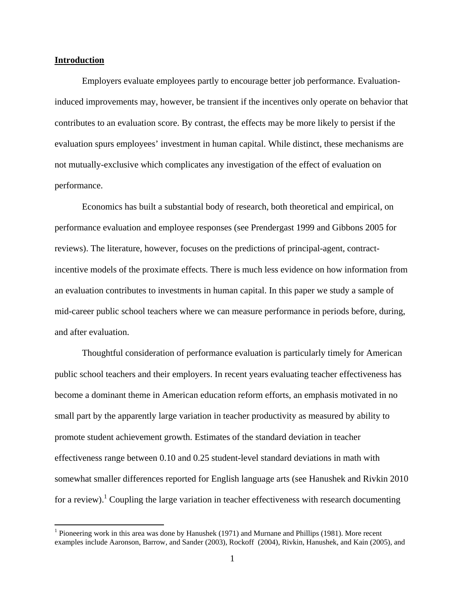## **Introduction**

Employers evaluate employees partly to encourage better job performance. Evaluationinduced improvements may, however, be transient if the incentives only operate on behavior that contributes to an evaluation score. By contrast, the effects may be more likely to persist if the evaluation spurs employees' investment in human capital. While distinct, these mechanisms are not mutually-exclusive which complicates any investigation of the effect of evaluation on performance.

Economics has built a substantial body of research, both theoretical and empirical, on performance evaluation and employee responses (see Prendergast 1999 and Gibbons 2005 for reviews). The literature, however, focuses on the predictions of principal-agent, contractincentive models of the proximate effects. There is much less evidence on how information from an evaluation contributes to investments in human capital. In this paper we study a sample of mid-career public school teachers where we can measure performance in periods before, during, and after evaluation.

Thoughtful consideration of performance evaluation is particularly timely for American public school teachers and their employers. In recent years evaluating teacher effectiveness has become a dominant theme in American education reform efforts, an emphasis motivated in no small part by the apparently large variation in teacher productivity as measured by ability to promote student achievement growth. Estimates of the standard deviation in teacher effectiveness range between 0.10 and 0.25 student-level standard deviations in math with somewhat smaller differences reported for English language arts (see Hanushek and Rivkin 2010 for a review).<sup>1</sup> Coupling the large variation in teacher effectiveness with research documenting

<sup>&</sup>lt;sup>1</sup> Pioneering work in this area was done by Hanushek (1971) and Murnane and Phillips (1981). More recent examples include Aaronson, Barrow, and Sander (2003), Rockoff (2004), Rivkin, Hanushek, and Kain (2005), and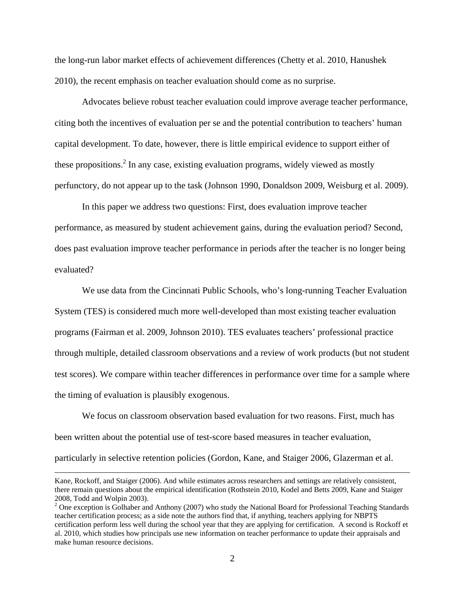the long-run labor market effects of achievement differences (Chetty et al. 2010, Hanushek 2010), the recent emphasis on teacher evaluation should come as no surprise.

Advocates believe robust teacher evaluation could improve average teacher performance, citing both the incentives of evaluation per se and the potential contribution to teachers' human capital development. To date, however, there is little empirical evidence to support either of these propositions.<sup>2</sup> In any case, existing evaluation programs, widely viewed as mostly perfunctory, do not appear up to the task (Johnson 1990, Donaldson 2009, Weisburg et al. 2009).

In this paper we address two questions: First, does evaluation improve teacher performance, as measured by student achievement gains, during the evaluation period? Second, does past evaluation improve teacher performance in periods after the teacher is no longer being evaluated?

We use data from the Cincinnati Public Schools, who's long-running Teacher Evaluation System (TES) is considered much more well-developed than most existing teacher evaluation programs (Fairman et al. 2009, Johnson 2010). TES evaluates teachers' professional practice through multiple, detailed classroom observations and a review of work products (but not student test scores). We compare within teacher differences in performance over time for a sample where the timing of evaluation is plausibly exogenous.

We focus on classroom observation based evaluation for two reasons. First, much has been written about the potential use of test-score based measures in teacher evaluation, particularly in selective retention policies (Gordon, Kane, and Staiger 2006, Glazerman et al.

<u> 1989 - Johann Stoff, amerikansk politiker (d. 1989)</u>

Kane, Rockoff, and Staiger (2006). And while estimates across researchers and settings are relatively consistent, there remain questions about the empirical identification (Rothstein 2010, Kodel and Betts 2009, Kane and Staiger 2008, Todd and Wolpin 2003).

 $2$  One exception is Golhaber and Anthony (2007) who study the National Board for Professional Teaching Standards teacher certification process; as a side note the authors find that, if anything, teachers applying for NBPTS certification perform less well during the school year that they are applying for certification. A second is Rockoff et al. 2010, which studies how principals use new information on teacher performance to update their appraisals and make human resource decisions.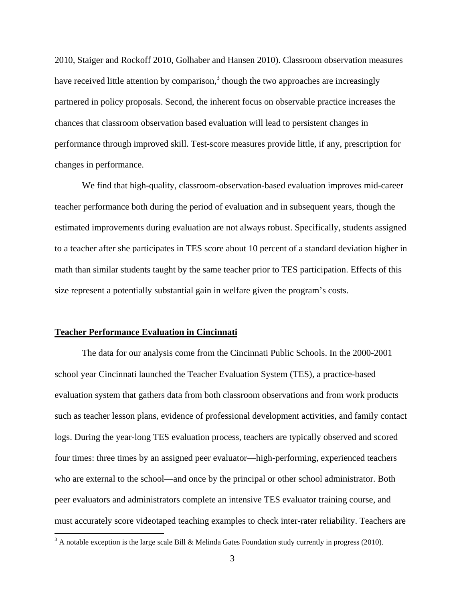2010, Staiger and Rockoff 2010, Golhaber and Hansen 2010). Classroom observation measures have received little attention by comparison, $3$  though the two approaches are increasingly partnered in policy proposals. Second, the inherent focus on observable practice increases the chances that classroom observation based evaluation will lead to persistent changes in performance through improved skill. Test-score measures provide little, if any, prescription for changes in performance.

We find that high-quality, classroom-observation-based evaluation improves mid-career teacher performance both during the period of evaluation and in subsequent years, though the estimated improvements during evaluation are not always robust. Specifically, students assigned to a teacher after she participates in TES score about 10 percent of a standard deviation higher in math than similar students taught by the same teacher prior to TES participation. Effects of this size represent a potentially substantial gain in welfare given the program's costs.

#### **Teacher Performance Evaluation in Cincinnati**

The data for our analysis come from the Cincinnati Public Schools. In the 2000-2001 school year Cincinnati launched the Teacher Evaluation System (TES), a practice-based evaluation system that gathers data from both classroom observations and from work products such as teacher lesson plans, evidence of professional development activities, and family contact logs. During the year-long TES evaluation process, teachers are typically observed and scored four times: three times by an assigned peer evaluator—high-performing, experienced teachers who are external to the school—and once by the principal or other school administrator. Both peer evaluators and administrators complete an intensive TES evaluator training course, and must accurately score videotaped teaching examples to check inter-rater reliability. Teachers are

 $3$  A notable exception is the large scale Bill & Melinda Gates Foundation study currently in progress (2010).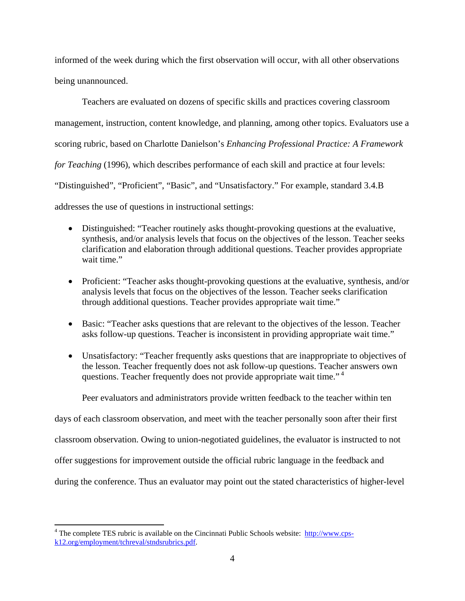informed of the week during which the first observation will occur, with all other observations being unannounced.

Teachers are evaluated on dozens of specific skills and practices covering classroom management, instruction, content knowledge, and planning, among other topics. Evaluators use a scoring rubric, based on Charlotte Danielson's *Enhancing Professional Practice: A Framework for Teaching* (1996), which describes performance of each skill and practice at four levels: "Distinguished", "Proficient", "Basic", and "Unsatisfactory." For example, standard 3.4.B addresses the use of questions in instructional settings:

- Distinguished: "Teacher routinely asks thought-provoking questions at the evaluative, synthesis, and/or analysis levels that focus on the objectives of the lesson. Teacher seeks clarification and elaboration through additional questions. Teacher provides appropriate wait time."
- Proficient: "Teacher asks thought-provoking questions at the evaluative, synthesis, and/or analysis levels that focus on the objectives of the lesson. Teacher seeks clarification through additional questions. Teacher provides appropriate wait time."
- Basic: "Teacher asks questions that are relevant to the objectives of the lesson. Teacher asks follow-up questions. Teacher is inconsistent in providing appropriate wait time."
- Unsatisfactory: "Teacher frequently asks questions that are inappropriate to objectives of the lesson. Teacher frequently does not ask follow-up questions. Teacher answers own questions. Teacher frequently does not provide appropriate wait time." 4

Peer evaluators and administrators provide written feedback to the teacher within ten

days of each classroom observation, and meet with the teacher personally soon after their first

classroom observation. Owing to union-negotiated guidelines, the evaluator is instructed to not

offer suggestions for improvement outside the official rubric language in the feedback and

during the conference. Thus an evaluator may point out the stated characteristics of higher-level

<sup>&</sup>lt;sup>4</sup> The complete TES rubric is available on the Cincinnati Public Schools website: http://www.cpsk12.org/employment/tchreval/stndsrubrics.pdf.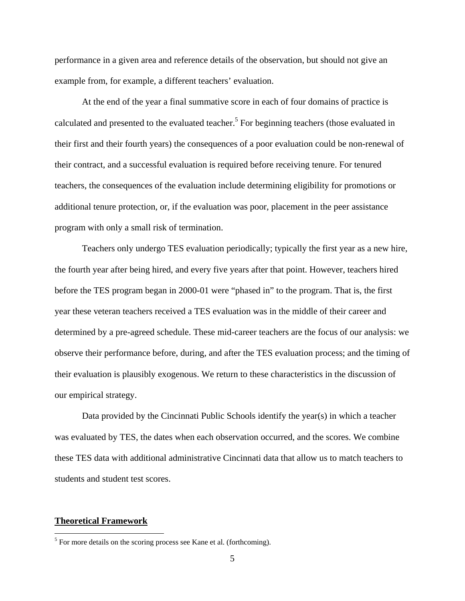performance in a given area and reference details of the observation, but should not give an example from, for example, a different teachers' evaluation.

At the end of the year a final summative score in each of four domains of practice is calculated and presented to the evaluated teacher.<sup>5</sup> For beginning teachers (those evaluated in their first and their fourth years) the consequences of a poor evaluation could be non-renewal of their contract, and a successful evaluation is required before receiving tenure. For tenured teachers, the consequences of the evaluation include determining eligibility for promotions or additional tenure protection, or, if the evaluation was poor, placement in the peer assistance program with only a small risk of termination.

Teachers only undergo TES evaluation periodically; typically the first year as a new hire, the fourth year after being hired, and every five years after that point. However, teachers hired before the TES program began in 2000-01 were "phased in" to the program. That is, the first year these veteran teachers received a TES evaluation was in the middle of their career and determined by a pre-agreed schedule. These mid-career teachers are the focus of our analysis: we observe their performance before, during, and after the TES evaluation process; and the timing of their evaluation is plausibly exogenous. We return to these characteristics in the discussion of our empirical strategy.

Data provided by the Cincinnati Public Schools identify the year(s) in which a teacher was evaluated by TES, the dates when each observation occurred, and the scores. We combine these TES data with additional administrative Cincinnati data that allow us to match teachers to students and student test scores.

#### **Theoretical Framework**

 $<sup>5</sup>$  For more details on the scoring process see Kane et al. (forthcoming).</sup>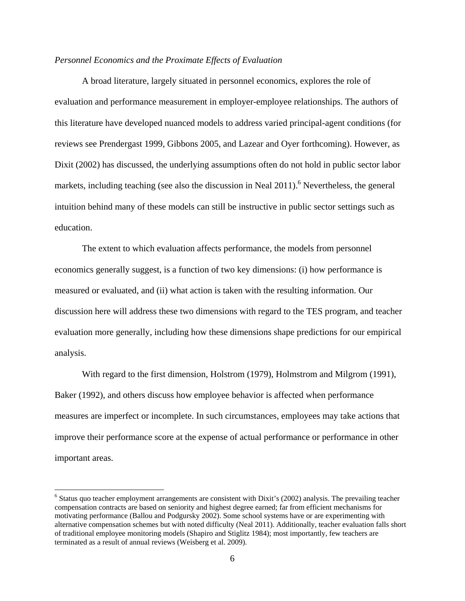## *Personnel Economics and the Proximate Effects of Evaluation*

A broad literature, largely situated in personnel economics, explores the role of evaluation and performance measurement in employer-employee relationships. The authors of this literature have developed nuanced models to address varied principal-agent conditions (for reviews see Prendergast 1999, Gibbons 2005, and Lazear and Oyer forthcoming). However, as Dixit (2002) has discussed, the underlying assumptions often do not hold in public sector labor markets, including teaching (see also the discussion in Neal 2011).<sup>6</sup> Nevertheless, the general intuition behind many of these models can still be instructive in public sector settings such as education.

The extent to which evaluation affects performance, the models from personnel economics generally suggest, is a function of two key dimensions: (i) how performance is measured or evaluated, and (ii) what action is taken with the resulting information. Our discussion here will address these two dimensions with regard to the TES program, and teacher evaluation more generally, including how these dimensions shape predictions for our empirical analysis.

With regard to the first dimension, Holstrom (1979), Holmstrom and Milgrom (1991), Baker (1992), and others discuss how employee behavior is affected when performance measures are imperfect or incomplete. In such circumstances, employees may take actions that improve their performance score at the expense of actual performance or performance in other important areas.

<sup>&</sup>lt;sup>6</sup> Status quo teacher employment arrangements are consistent with Dixit's (2002) analysis. The prevailing teacher compensation contracts are based on seniority and highest degree earned; far from efficient mechanisms for motivating performance (Ballou and Podgursky 2002). Some school systems have or are experimenting with alternative compensation schemes but with noted difficulty (Neal 2011). Additionally, teacher evaluation falls short of traditional employee monitoring models (Shapiro and Stiglitz 1984); most importantly, few teachers are terminated as a result of annual reviews (Weisberg et al. 2009).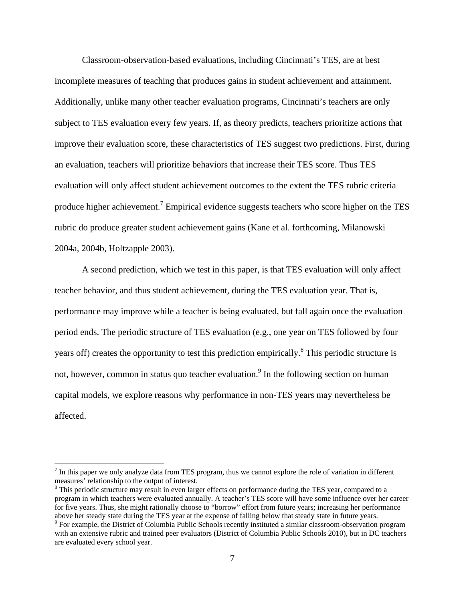Classroom-observation-based evaluations, including Cincinnati's TES, are at best incomplete measures of teaching that produces gains in student achievement and attainment. Additionally, unlike many other teacher evaluation programs, Cincinnati's teachers are only subject to TES evaluation every few years. If, as theory predicts, teachers prioritize actions that improve their evaluation score, these characteristics of TES suggest two predictions. First, during an evaluation, teachers will prioritize behaviors that increase their TES score. Thus TES evaluation will only affect student achievement outcomes to the extent the TES rubric criteria produce higher achievement.<sup>7</sup> Empirical evidence suggests teachers who score higher on the TES rubric do produce greater student achievement gains (Kane et al. forthcoming, Milanowski 2004a, 2004b, Holtzapple 2003).

A second prediction, which we test in this paper, is that TES evaluation will only affect teacher behavior, and thus student achievement, during the TES evaluation year. That is, performance may improve while a teacher is being evaluated, but fall again once the evaluation period ends. The periodic structure of TES evaluation (e.g., one year on TES followed by four years off) creates the opportunity to test this prediction empirically.<sup>8</sup> This periodic structure is not, however, common in status quo teacher evaluation.<sup>9</sup> In the following section on human capital models, we explore reasons why performance in non-TES years may nevertheless be affected.

 $<sup>7</sup>$  In this paper we only analyze data from TES program, thus we cannot explore the role of variation in different</sup> measures' relationship to the output of interest.

<sup>&</sup>lt;sup>8</sup> This periodic structure may result in even larger effects on performance during the TES year, compared to a program in which teachers were evaluated annually. A teacher's TES score will have some influence over her career for five years. Thus, she might rationally choose to "borrow" effort from future years; increasing her performance above her steady state during the TES year at the expense of falling below that steady state in future years. 9

 $9$  For example, the District of Columbia Public Schools recently instituted a similar classroom-observation program with an extensive rubric and trained peer evaluators (District of Columbia Public Schools 2010), but in DC teachers are evaluated every school year.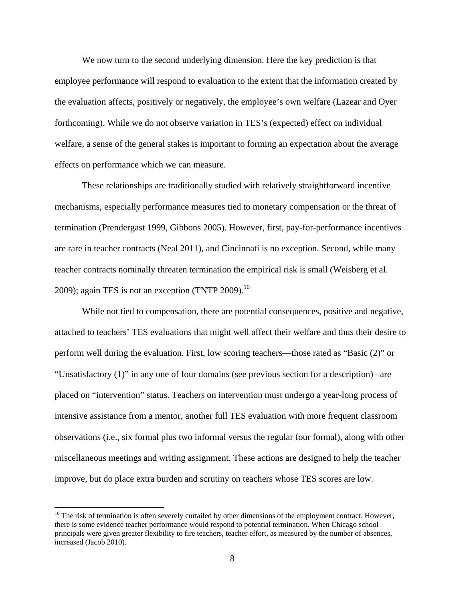We now turn to the second underlying dimension. Here the key prediction is that employee performance will respond to evaluation to the extent that the information created by the evaluation affects, positively or negatively, the employee's own welfare (Lazear and Oyer forthcoming). While we do not observe variation in TES's (expected) effect on individual welfare, a sense of the general stakes is important to forming an expectation about the average effects on performance which we can measure.

These relationships are traditionally studied with relatively straightforward incentive mechanisms, especially performance measures tied to monetary compensation or the threat of termination (Prendergast 1999, Gibbons 2005). However, first, pay-for-performance incentives are rare in teacher contracts (Neal 2011), and Cincinnati is no exception. Second, while many teacher contracts nominally threaten termination the empirical risk is small (Weisberg et al. 2009); again TES is not an exception (TNTP 2009). $^{10}$ 

While not tied to compensation, there are potential consequences, positive and negative, attached to teachers' TES evaluations that might well affect their welfare and thus their desire to perform well during the evaluation. First, low scoring teachers—those rated as "Basic (2)" or "Unsatisfactory (1)" in any one of four domains (see previous section for a description) –are placed on "intervention" status. Teachers on intervention must undergo a year-long process of intensive assistance from a mentor, another full TES evaluation with more frequent classroom observations (i.e., six formal plus two informal versus the regular four formal), along with other miscellaneous meetings and writing assignment. These actions are designed to help the teacher improve, but do place extra burden and scrutiny on teachers whose TES scores are low.

 $10$  The risk of termination is often severely curtailed by other dimensions of the employment contract. However, there is some evidence teacher performance would respond to potential termination. When Chicago school principals were given greater flexibility to fire teachers, teacher effort, as measured by the number of absences, increased (Jacob 2010).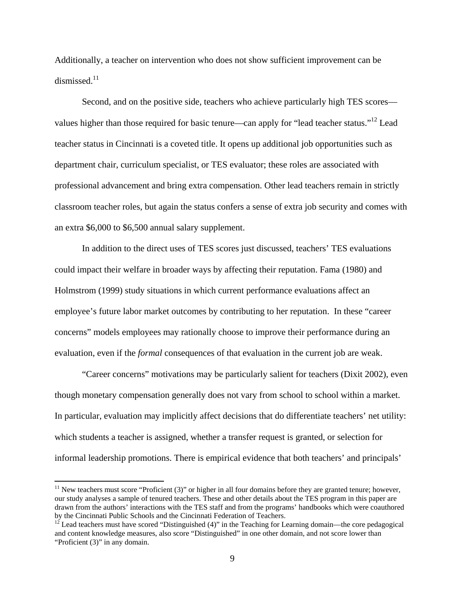Additionally, a teacher on intervention who does not show sufficient improvement can be dismissed.<sup>11</sup>

Second, and on the positive side, teachers who achieve particularly high TES scores values higher than those required for basic tenure—can apply for "lead teacher status."<sup>12</sup> Lead teacher status in Cincinnati is a coveted title. It opens up additional job opportunities such as department chair, curriculum specialist, or TES evaluator; these roles are associated with professional advancement and bring extra compensation. Other lead teachers remain in strictly classroom teacher roles, but again the status confers a sense of extra job security and comes with an extra \$6,000 to \$6,500 annual salary supplement.

In addition to the direct uses of TES scores just discussed, teachers' TES evaluations could impact their welfare in broader ways by affecting their reputation. Fama (1980) and Holmstrom (1999) study situations in which current performance evaluations affect an employee's future labor market outcomes by contributing to her reputation. In these "career concerns" models employees may rationally choose to improve their performance during an evaluation, even if the *formal* consequences of that evaluation in the current job are weak.

"Career concerns" motivations may be particularly salient for teachers (Dixit 2002), even though monetary compensation generally does not vary from school to school within a market. In particular, evaluation may implicitly affect decisions that do differentiate teachers' net utility: which students a teacher is assigned, whether a transfer request is granted, or selection for informal leadership promotions. There is empirical evidence that both teachers' and principals'

<sup>&</sup>lt;sup>11</sup> New teachers must score "Proficient (3)" or higher in all four domains before they are granted tenure; however, our study analyses a sample of tenured teachers. These and other details about the TES program in this paper are drawn from the authors' interactions with the TES staff and from the programs' handbooks which were coauthored by the Cincinnati Public Schools and the Cincinnati Federation of Teachers.

 $12^{\frac{12}{2}}$  Lead teachers must have scored "Distinguished (4)" in the Teaching for Learning domain—the core pedagogical and content knowledge measures, also score "Distinguished" in one other domain, and not score lower than "Proficient (3)" in any domain.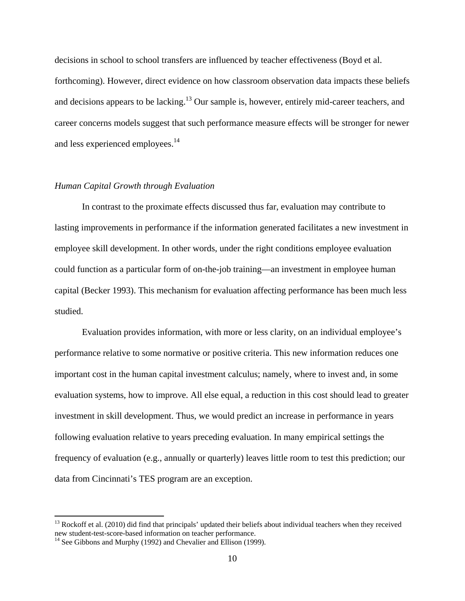decisions in school to school transfers are influenced by teacher effectiveness (Boyd et al. forthcoming). However, direct evidence on how classroom observation data impacts these beliefs and decisions appears to be lacking.<sup>13</sup> Our sample is, however, entirely mid-career teachers, and career concerns models suggest that such performance measure effects will be stronger for newer and less experienced employees.<sup>14</sup>

## *Human Capital Growth through Evaluation*

 In contrast to the proximate effects discussed thus far, evaluation may contribute to lasting improvements in performance if the information generated facilitates a new investment in employee skill development. In other words, under the right conditions employee evaluation could function as a particular form of on-the-job training—an investment in employee human capital (Becker 1993). This mechanism for evaluation affecting performance has been much less studied.

 Evaluation provides information, with more or less clarity, on an individual employee's performance relative to some normative or positive criteria. This new information reduces one important cost in the human capital investment calculus; namely, where to invest and, in some evaluation systems, how to improve. All else equal, a reduction in this cost should lead to greater investment in skill development. Thus, we would predict an increase in performance in years following evaluation relative to years preceding evaluation. In many empirical settings the frequency of evaluation (e.g., annually or quarterly) leaves little room to test this prediction; our data from Cincinnati's TES program are an exception.

<sup>&</sup>lt;sup>13</sup> Rockoff et al. (2010) did find that principals' updated their beliefs about individual teachers when they received new student-test-score-based information on teacher performance.<br><sup>14</sup> See Gibbons and Murphy (1992) and Chevalier and Ellison (1999).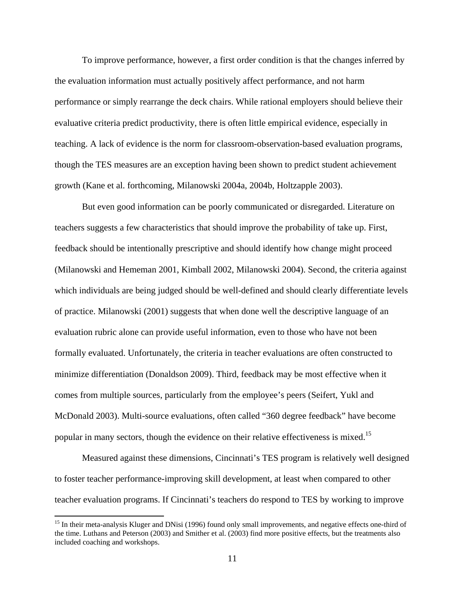To improve performance, however, a first order condition is that the changes inferred by the evaluation information must actually positively affect performance, and not harm performance or simply rearrange the deck chairs. While rational employers should believe their evaluative criteria predict productivity, there is often little empirical evidence, especially in teaching. A lack of evidence is the norm for classroom-observation-based evaluation programs, though the TES measures are an exception having been shown to predict student achievement growth (Kane et al. forthcoming, Milanowski 2004a, 2004b, Holtzapple 2003).

 But even good information can be poorly communicated or disregarded. Literature on teachers suggests a few characteristics that should improve the probability of take up. First, feedback should be intentionally prescriptive and should identify how change might proceed (Milanowski and Hememan 2001, Kimball 2002, Milanowski 2004). Second, the criteria against which individuals are being judged should be well-defined and should clearly differentiate levels of practice. Milanowski (2001) suggests that when done well the descriptive language of an evaluation rubric alone can provide useful information, even to those who have not been formally evaluated. Unfortunately, the criteria in teacher evaluations are often constructed to minimize differentiation (Donaldson 2009). Third, feedback may be most effective when it comes from multiple sources, particularly from the employee's peers (Seifert, Yukl and McDonald 2003). Multi-source evaluations, often called "360 degree feedback" have become popular in many sectors, though the evidence on their relative effectiveness is mixed.15

 Measured against these dimensions, Cincinnati's TES program is relatively well designed to foster teacher performance-improving skill development, at least when compared to other teacher evaluation programs. If Cincinnati's teachers do respond to TES by working to improve

<sup>&</sup>lt;sup>15</sup> In their meta-analysis Kluger and DNisi (1996) found only small improvements, and negative effects one-third of the time. Luthans and Peterson (2003) and Smither et al. (2003) find more positive effects, but the treatments also included coaching and workshops.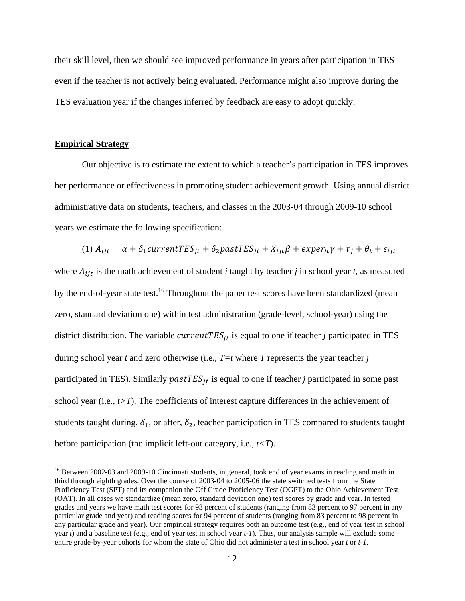their skill level, then we should see improved performance in years after participation in TES even if the teacher is not actively being evaluated. Performance might also improve during the TES evaluation year if the changes inferred by feedback are easy to adopt quickly.

#### **Empirical Strategy**

 Our objective is to estimate the extent to which a teacher's participation in TES improves her performance or effectiveness in promoting student achievement growth. Using annual district administrative data on students, teachers, and classes in the 2003-04 through 2009-10 school years we estimate the following specification:

(1) 
$$
A_{ijt} = \alpha + \delta_1
$$
 current  $TES_{jt} + \delta_2$  past  $TES_{jt} + X_{ijt}\beta + \epsilon xper_{jt}\gamma + \tau_j + \theta_t + \epsilon_{ijt}$ 

where  $A_{ijt}$  is the math achievement of student *i* taught by teacher *j* in school year *t*, as measured by the end-of-year state test.<sup>16</sup> Throughout the paper test scores have been standardized (mean zero, standard deviation one) within test administration (grade-level, school-year) using the district distribution. The variable  $currentTES_{it}$  is equal to one if teacher *j* participated in TES during school year *t* and zero otherwise (i.e., *T=t* where *T* represents the year teacher *j* participated in TES). Similarly  $pastTES_{it}$  is equal to one if teacher *j* participated in some past school year (i.e.,  $t > T$ ). The coefficients of interest capture differences in the achievement of students taught during,  $\delta_1$ , or after,  $\delta_2$ , teacher participation in TES compared to students taught before participation (the implicit left-out category, i.e., *t<T*).

<sup>&</sup>lt;sup>16</sup> Between 2002-03 and 2009-10 Cincinnati students, in general, took end of year exams in reading and math in third through eighth grades. Over the course of 2003-04 to 2005-06 the state switched tests from the State Proficiency Test (SPT) and its companion the Off Grade Proficiency Test (OGPT) to the Ohio Achievement Test (OAT). In all cases we standardize (mean zero, standard deviation one) test scores by grade and year. In tested grades and years we have math test scores for 93 percent of students (ranging from 83 percent to 97 percent in any particular grade and year) and reading scores for 94 percent of students (ranging from 83 percent to 98 percent in any particular grade and year). Our empirical strategy requires both an outcome test (e.g., end of year test in school year *t*) and a baseline test (e.g., end of year test in school year *t-1*). Thus, our analysis sample will exclude some entire grade-by-year cohorts for whom the state of Ohio did not administer a test in school year *t* or *t-1*.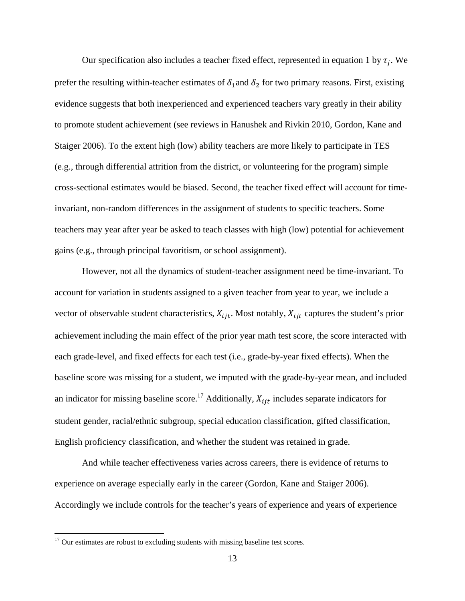Our specification also includes a teacher fixed effect, represented in equation 1 by  $\tau_i$ . We prefer the resulting within-teacher estimates of  $\delta_1$  and  $\delta_2$  for two primary reasons. First, existing evidence suggests that both inexperienced and experienced teachers vary greatly in their ability to promote student achievement (see reviews in Hanushek and Rivkin 2010, Gordon, Kane and Staiger 2006). To the extent high (low) ability teachers are more likely to participate in TES (e.g., through differential attrition from the district, or volunteering for the program) simple cross-sectional estimates would be biased. Second, the teacher fixed effect will account for timeinvariant, non-random differences in the assignment of students to specific teachers. Some teachers may year after year be asked to teach classes with high (low) potential for achievement gains (e.g., through principal favoritism, or school assignment).

However, not all the dynamics of student-teacher assignment need be time-invariant. To account for variation in students assigned to a given teacher from year to year, we include a vector of observable student characteristics,  $X_{ijt}$ . Most notably,  $X_{ijt}$  captures the student's prior achievement including the main effect of the prior year math test score, the score interacted with each grade-level, and fixed effects for each test (i.e., grade-by-year fixed effects). When the baseline score was missing for a student, we imputed with the grade-by-year mean, and included an indicator for missing baseline score.<sup>17</sup> Additionally,  $X_{i}$  includes separate indicators for student gender, racial/ethnic subgroup, special education classification, gifted classification, English proficiency classification, and whether the student was retained in grade.

 And while teacher effectiveness varies across careers, there is evidence of returns to experience on average especially early in the career (Gordon, Kane and Staiger 2006). Accordingly we include controls for the teacher's years of experience and years of experience

 $17$  Our estimates are robust to excluding students with missing baseline test scores.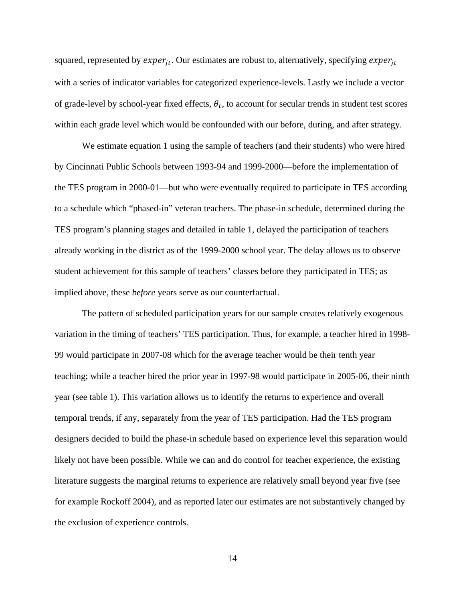squared, represented by  $exper_{it}$ . Our estimates are robust to, alternatively, specifying  $exper_{it}$ with a series of indicator variables for categorized experience-levels. Lastly we include a vector of grade-level by school-year fixed effects,  $\theta_t$ , to account for secular trends in student test scores within each grade level which would be confounded with our before, during, and after strategy.

We estimate equation 1 using the sample of teachers (and their students) who were hired by Cincinnati Public Schools between 1993-94 and 1999-2000—before the implementation of the TES program in 2000-01—but who were eventually required to participate in TES according to a schedule which "phased-in" veteran teachers. The phase-in schedule, determined during the TES program's planning stages and detailed in table 1, delayed the participation of teachers already working in the district as of the 1999-2000 school year. The delay allows us to observe student achievement for this sample of teachers' classes before they participated in TES; as implied above, these *before* years serve as our counterfactual.

 The pattern of scheduled participation years for our sample creates relatively exogenous variation in the timing of teachers' TES participation. Thus, for example, a teacher hired in 1998- 99 would participate in 2007-08 which for the average teacher would be their tenth year teaching; while a teacher hired the prior year in 1997-98 would participate in 2005-06, their ninth year (see table 1). This variation allows us to identify the returns to experience and overall temporal trends, if any, separately from the year of TES participation. Had the TES program designers decided to build the phase-in schedule based on experience level this separation would likely not have been possible. While we can and do control for teacher experience, the existing literature suggests the marginal returns to experience are relatively small beyond year five (see for example Rockoff 2004), and as reported later our estimates are not substantively changed by the exclusion of experience controls.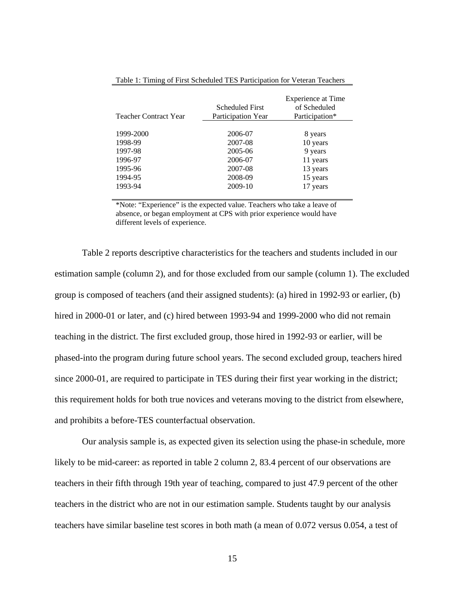| <b>Teacher Contract Year</b> | <b>Scheduled First</b><br>Participation Year | <b>Experience at Time</b><br>of Scheduled<br>Participation* |
|------------------------------|----------------------------------------------|-------------------------------------------------------------|
|                              |                                              |                                                             |
| 1999-2000                    | 2006-07                                      | 8 years                                                     |
| 1998-99                      | 2007-08                                      | 10 years                                                    |
| 1997-98                      | 2005-06                                      | 9 years                                                     |
| 1996-97                      | 2006-07                                      | 11 years                                                    |
| 1995-96                      | 2007-08                                      | 13 years                                                    |
| 1994-95                      | 2008-09                                      | 15 years                                                    |
| 1993-94                      | 2009-10                                      | 17 years                                                    |

Table 1: Timing of First Scheduled TES Participation for Veteran Teachers

\*Note: "Experience" is the expected value. Teachers who take a leave of absence, or began employment at CPS with prior experience would have different levels of experience.

 Table 2 reports descriptive characteristics for the teachers and students included in our estimation sample (column 2), and for those excluded from our sample (column 1). The excluded group is composed of teachers (and their assigned students): (a) hired in 1992-93 or earlier, (b) hired in 2000-01 or later, and (c) hired between 1993-94 and 1999-2000 who did not remain teaching in the district. The first excluded group, those hired in 1992-93 or earlier, will be phased-into the program during future school years. The second excluded group, teachers hired since 2000-01, are required to participate in TES during their first year working in the district; this requirement holds for both true novices and veterans moving to the district from elsewhere, and prohibits a before-TES counterfactual observation.

 Our analysis sample is, as expected given its selection using the phase-in schedule, more likely to be mid-career: as reported in table 2 column 2, 83.4 percent of our observations are teachers in their fifth through 19th year of teaching, compared to just 47.9 percent of the other teachers in the district who are not in our estimation sample. Students taught by our analysis teachers have similar baseline test scores in both math (a mean of 0.072 versus 0.054, a test of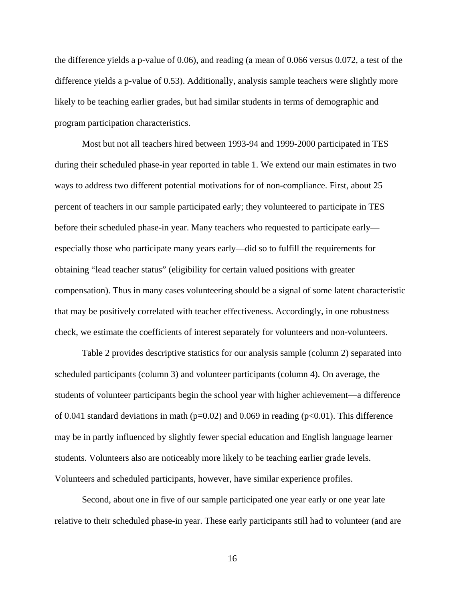the difference yields a p-value of 0.06), and reading (a mean of 0.066 versus 0.072, a test of the difference yields a p-value of 0.53). Additionally, analysis sample teachers were slightly more likely to be teaching earlier grades, but had similar students in terms of demographic and program participation characteristics.

 Most but not all teachers hired between 1993-94 and 1999-2000 participated in TES during their scheduled phase-in year reported in table 1. We extend our main estimates in two ways to address two different potential motivations for of non-compliance. First, about 25 percent of teachers in our sample participated early; they volunteered to participate in TES before their scheduled phase-in year. Many teachers who requested to participate early especially those who participate many years early—did so to fulfill the requirements for obtaining "lead teacher status" (eligibility for certain valued positions with greater compensation). Thus in many cases volunteering should be a signal of some latent characteristic that may be positively correlated with teacher effectiveness. Accordingly, in one robustness check, we estimate the coefficients of interest separately for volunteers and non-volunteers.

 Table 2 provides descriptive statistics for our analysis sample (column 2) separated into scheduled participants (column 3) and volunteer participants (column 4). On average, the students of volunteer participants begin the school year with higher achievement—a difference of 0.041 standard deviations in math ( $p=0.02$ ) and 0.069 in reading ( $p<0.01$ ). This difference may be in partly influenced by slightly fewer special education and English language learner students. Volunteers also are noticeably more likely to be teaching earlier grade levels. Volunteers and scheduled participants, however, have similar experience profiles.

Second, about one in five of our sample participated one year early or one year late relative to their scheduled phase-in year. These early participants still had to volunteer (and are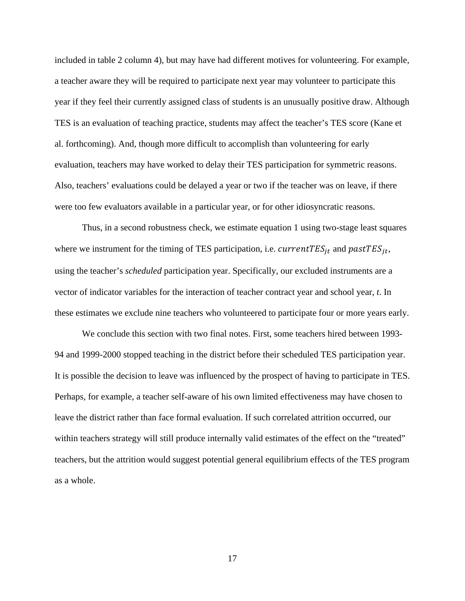included in table 2 column 4), but may have had different motives for volunteering. For example, a teacher aware they will be required to participate next year may volunteer to participate this year if they feel their currently assigned class of students is an unusually positive draw. Although TES is an evaluation of teaching practice, students may affect the teacher's TES score (Kane et al. forthcoming). And, though more difficult to accomplish than volunteering for early evaluation, teachers may have worked to delay their TES participation for symmetric reasons. Also, teachers' evaluations could be delayed a year or two if the teacher was on leave, if there were too few evaluators available in a particular year, or for other idiosyncratic reasons.

Thus, in a second robustness check, we estimate equation 1 using two-stage least squares where we instrument for the timing of TES participation, i.e.  $currentTES_{it}$  and  $pastTES_{it}$ , using the teacher's *scheduled* participation year. Specifically, our excluded instruments are a vector of indicator variables for the interaction of teacher contract year and school year, *t*. In these estimates we exclude nine teachers who volunteered to participate four or more years early.

We conclude this section with two final notes. First, some teachers hired between 1993- 94 and 1999-2000 stopped teaching in the district before their scheduled TES participation year. It is possible the decision to leave was influenced by the prospect of having to participate in TES. Perhaps, for example, a teacher self-aware of his own limited effectiveness may have chosen to leave the district rather than face formal evaluation. If such correlated attrition occurred, our within teachers strategy will still produce internally valid estimates of the effect on the "treated" teachers, but the attrition would suggest potential general equilibrium effects of the TES program as a whole.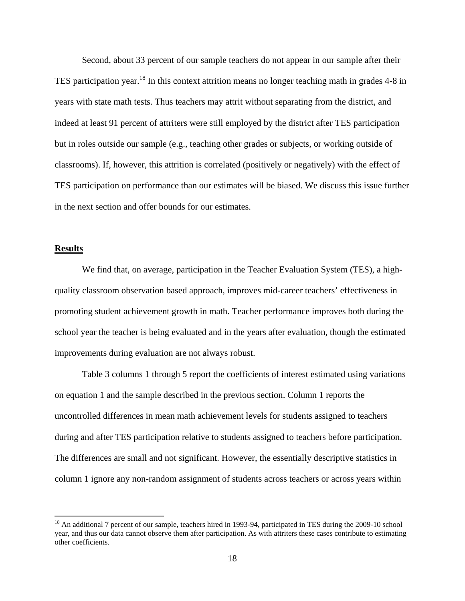Second, about 33 percent of our sample teachers do not appear in our sample after their TES participation year.<sup>18</sup> In this context attrition means no longer teaching math in grades 4-8 in years with state math tests. Thus teachers may attrit without separating from the district, and indeed at least 91 percent of attriters were still employed by the district after TES participation but in roles outside our sample (e.g., teaching other grades or subjects, or working outside of classrooms). If, however, this attrition is correlated (positively or negatively) with the effect of TES participation on performance than our estimates will be biased. We discuss this issue further in the next section and offer bounds for our estimates.

## **Results**

 We find that, on average, participation in the Teacher Evaluation System (TES), a highquality classroom observation based approach, improves mid-career teachers' effectiveness in promoting student achievement growth in math. Teacher performance improves both during the school year the teacher is being evaluated and in the years after evaluation, though the estimated improvements during evaluation are not always robust.

Table 3 columns 1 through 5 report the coefficients of interest estimated using variations on equation 1 and the sample described in the previous section. Column 1 reports the uncontrolled differences in mean math achievement levels for students assigned to teachers during and after TES participation relative to students assigned to teachers before participation. The differences are small and not significant. However, the essentially descriptive statistics in column 1 ignore any non-random assignment of students across teachers or across years within

<sup>&</sup>lt;sup>18</sup> An additional 7 percent of our sample, teachers hired in 1993-94, participated in TES during the 2009-10 school year, and thus our data cannot observe them after participation. As with attriters these cases contribute to estimating other coefficients.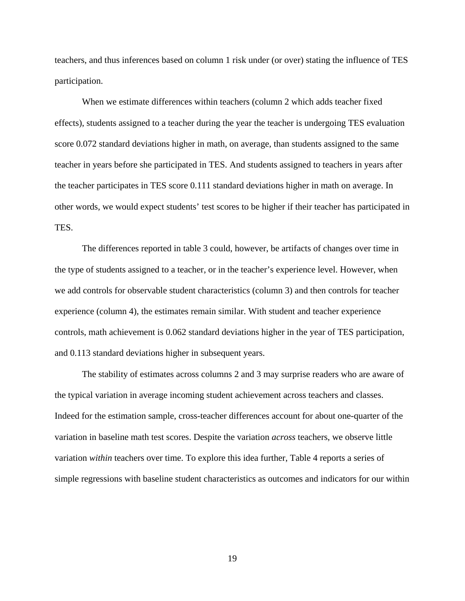teachers, and thus inferences based on column 1 risk under (or over) stating the influence of TES participation.

 When we estimate differences within teachers (column 2 which adds teacher fixed effects), students assigned to a teacher during the year the teacher is undergoing TES evaluation score 0.072 standard deviations higher in math, on average, than students assigned to the same teacher in years before she participated in TES. And students assigned to teachers in years after the teacher participates in TES score 0.111 standard deviations higher in math on average. In other words, we would expect students' test scores to be higher if their teacher has participated in TES.

 The differences reported in table 3 could, however, be artifacts of changes over time in the type of students assigned to a teacher, or in the teacher's experience level. However, when we add controls for observable student characteristics (column 3) and then controls for teacher experience (column 4), the estimates remain similar. With student and teacher experience controls, math achievement is 0.062 standard deviations higher in the year of TES participation, and 0.113 standard deviations higher in subsequent years.

 The stability of estimates across columns 2 and 3 may surprise readers who are aware of the typical variation in average incoming student achievement across teachers and classes. Indeed for the estimation sample, cross-teacher differences account for about one-quarter of the variation in baseline math test scores. Despite the variation *across* teachers, we observe little variation *within* teachers over time. To explore this idea further, Table 4 reports a series of simple regressions with baseline student characteristics as outcomes and indicators for our within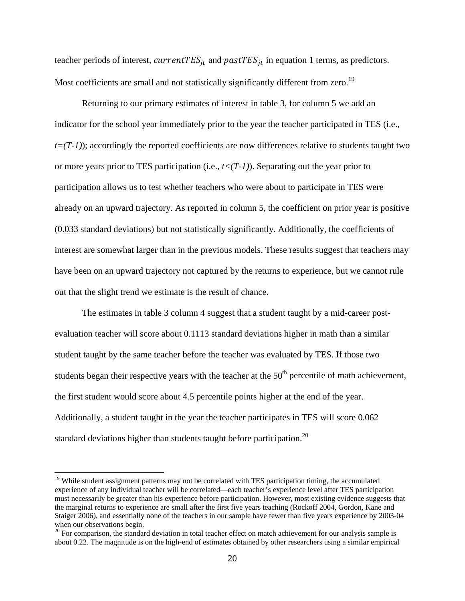teacher periods of interest,  $currentTES_{it}$  and  $pastTES_{it}$  in equation 1 terms, as predictors. Most coefficients are small and not statistically significantly different from zero.<sup>19</sup>

 Returning to our primary estimates of interest in table 3, for column 5 we add an indicator for the school year immediately prior to the year the teacher participated in TES (i.e.,  $t=(T-1)$ ; accordingly the reported coefficients are now differences relative to students taught two or more years prior to TES participation (i.e.,  $t<(T-1)$ ). Separating out the year prior to participation allows us to test whether teachers who were about to participate in TES were already on an upward trajectory. As reported in column 5, the coefficient on prior year is positive (0.033 standard deviations) but not statistically significantly. Additionally, the coefficients of interest are somewhat larger than in the previous models. These results suggest that teachers may have been on an upward trajectory not captured by the returns to experience, but we cannot rule out that the slight trend we estimate is the result of chance.

The estimates in table 3 column 4 suggest that a student taught by a mid-career postevaluation teacher will score about 0.1113 standard deviations higher in math than a similar student taught by the same teacher before the teacher was evaluated by TES. If those two students began their respective years with the teacher at the  $50<sup>th</sup>$  percentile of math achievement, the first student would score about 4.5 percentile points higher at the end of the year. Additionally, a student taught in the year the teacher participates in TES will score 0.062 standard deviations higher than students taught before participation.<sup>20</sup>

<sup>&</sup>lt;sup>19</sup> While student assignment patterns may not be correlated with TES participation timing, the accumulated experience of any individual teacher will be correlated—each teacher's experience level after TES participation must necessarily be greater than his experience before participation. However, most existing evidence suggests that the marginal returns to experience are small after the first five years teaching (Rockoff 2004, Gordon, Kane and Staiger 2006), and essentially none of the teachers in our sample have fewer than five years experience by 2003-04 when our observations begin.

<sup>&</sup>lt;sup>20</sup> For comparison, the standard deviation in total teacher effect on match achievement for our analysis sample is about 0.22. The magnitude is on the high-end of estimates obtained by other researchers using a similar empirical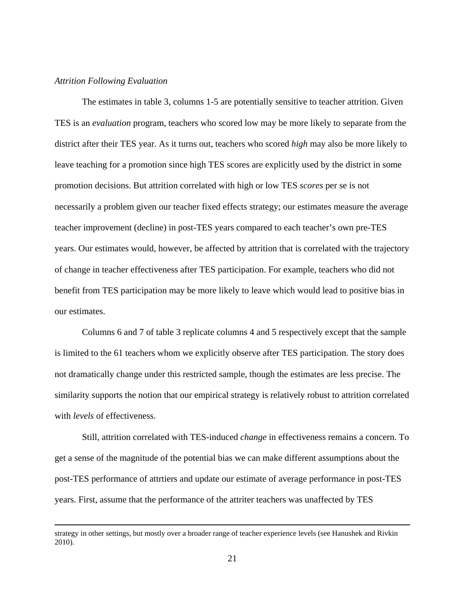#### *Attrition Following Evaluation*

The estimates in table 3, columns 1-5 are potentially sensitive to teacher attrition. Given TES is an *evaluation* program, teachers who scored low may be more likely to separate from the district after their TES year. As it turns out, teachers who scored *high* may also be more likely to leave teaching for a promotion since high TES scores are explicitly used by the district in some promotion decisions. But attrition correlated with high or low TES *scores* per se is not necessarily a problem given our teacher fixed effects strategy; our estimates measure the average teacher improvement (decline) in post-TES years compared to each teacher's own pre-TES years. Our estimates would, however, be affected by attrition that is correlated with the trajectory of change in teacher effectiveness after TES participation. For example, teachers who did not benefit from TES participation may be more likely to leave which would lead to positive bias in our estimates.

Columns 6 and 7 of table 3 replicate columns 4 and 5 respectively except that the sample is limited to the 61 teachers whom we explicitly observe after TES participation. The story does not dramatically change under this restricted sample, though the estimates are less precise. The similarity supports the notion that our empirical strategy is relatively robust to attrition correlated with *levels* of effectiveness.

Still, attrition correlated with TES-induced *change* in effectiveness remains a concern. To get a sense of the magnitude of the potential bias we can make different assumptions about the post-TES performance of attrtiers and update our estimate of average performance in post-TES years. First, assume that the performance of the attriter teachers was unaffected by TES

<u> 1989 - Johann Stoff, amerikansk politiker (d. 1989)</u>

strategy in other settings, but mostly over a broader range of teacher experience levels (see Hanushek and Rivkin 2010).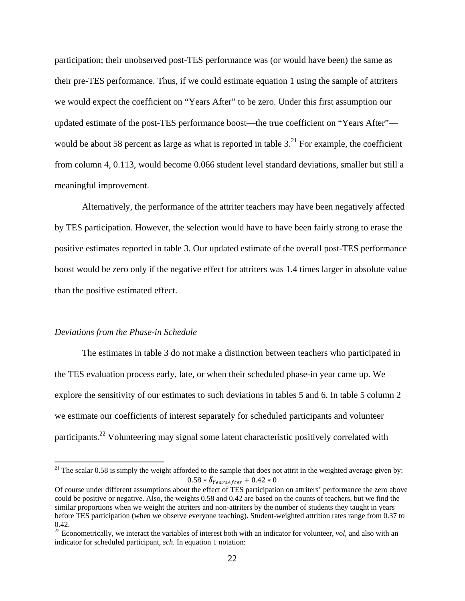participation; their unobserved post-TES performance was (or would have been) the same as their pre-TES performance. Thus, if we could estimate equation 1 using the sample of attriters we would expect the coefficient on "Years After" to be zero. Under this first assumption our updated estimate of the post-TES performance boost—the true coefficient on "Years After" would be about 58 percent as large as what is reported in table  $3<sup>21</sup>$  For example, the coefficient from column 4, 0.113, would become 0.066 student level standard deviations, smaller but still a meaningful improvement.

Alternatively, the performance of the attriter teachers may have been negatively affected by TES participation. However, the selection would have to have been fairly strong to erase the positive estimates reported in table 3. Our updated estimate of the overall post-TES performance boost would be zero only if the negative effect for attriters was 1.4 times larger in absolute value than the positive estimated effect.

#### *Deviations from the Phase-in Schedule*

The estimates in table 3 do not make a distinction between teachers who participated in the TES evaluation process early, late, or when their scheduled phase-in year came up. We explore the sensitivity of our estimates to such deviations in tables 5 and 6. In table 5 column 2 we estimate our coefficients of interest separately for scheduled participants and volunteer participants.22 Volunteering may signal some latent characteristic positively correlated with

<sup>&</sup>lt;sup>21</sup> The scalar 0.58 is simply the weight afforded to the sample that does not attrit in the weighted average given by:  $0.58 * \hat{\delta}_{\text{PearsAfter}} + 0.42 * 0$ 

Of course under different assumptions about the effect of TES participation on attriters' performance the zero above could be positive or negative. Also, the weights 0.58 and 0.42 are based on the counts of teachers, but we find the similar proportions when we weight the attriters and non-attriters by the number of students they taught in years before TES participation (when we observe everyone teaching). Student-weighted attrition rates range from 0.37 to 0.42.

 $22$  Econometrically, we interact the variables of interest both with an indicator for volunteer, *vol*, and also with an indicator for scheduled participant, *sch*. In equation 1 notation: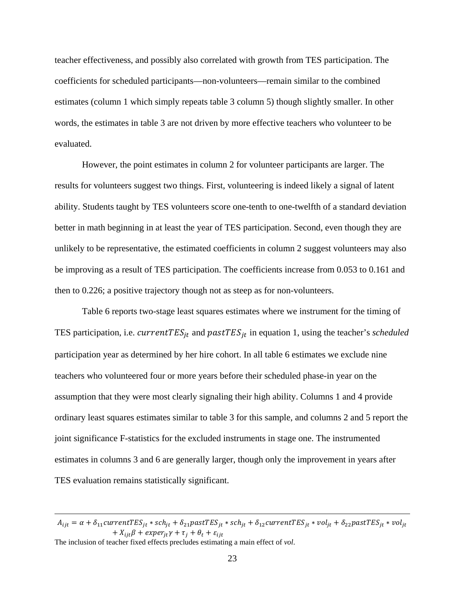teacher effectiveness, and possibly also correlated with growth from TES participation. The coefficients for scheduled participants—non-volunteers—remain similar to the combined estimates (column 1 which simply repeats table 3 column 5) though slightly smaller. In other words, the estimates in table 3 are not driven by more effective teachers who volunteer to be evaluated.

However, the point estimates in column 2 for volunteer participants are larger. The results for volunteers suggest two things. First, volunteering is indeed likely a signal of latent ability. Students taught by TES volunteers score one-tenth to one-twelfth of a standard deviation better in math beginning in at least the year of TES participation. Second, even though they are unlikely to be representative, the estimated coefficients in column 2 suggest volunteers may also be improving as a result of TES participation. The coefficients increase from 0.053 to 0.161 and then to 0.226; a positive trajectory though not as steep as for non-volunteers.

Table 6 reports two-stage least squares estimates where we instrument for the timing of TES participation, i.e.  $currentTES_{jt}$  and  $pastTES_{jt}$  in equation 1, using the teacher's *scheduled* participation year as determined by her hire cohort. In all table 6 estimates we exclude nine teachers who volunteered four or more years before their scheduled phase-in year on the assumption that they were most clearly signaling their high ability. Columns 1 and 4 provide ordinary least squares estimates similar to table 3 for this sample, and columns 2 and 5 report the joint significance F-statistics for the excluded instruments in stage one. The instrumented estimates in columns 3 and 6 are generally larger, though only the improvement in years after TES evaluation remains statistically significant.

<u> 1989 - Johann Stein, marwolaethau a gweledydd a ganlad y ganlad y ganlad y ganlad y ganlad y ganlad y ganlad</u>

The inclusion of teacher fixed effects precludes estimating a main effect of *vol*.

 $A_{ijt} = \alpha + \delta_{11}$ current $TES_{jt} * sch_{jt} + \delta_{21}$ past $TES_{jt} * sch_{jt} + \delta_{12}$ current $TES_{jt} * vol_{jt} + \delta_{22}$ past $TES_{jt} * vol_{jt}$  $+ X_{ijt}\beta + exper_{jt}\gamma + \tau_j + \theta_t + \varepsilon_{ijt}$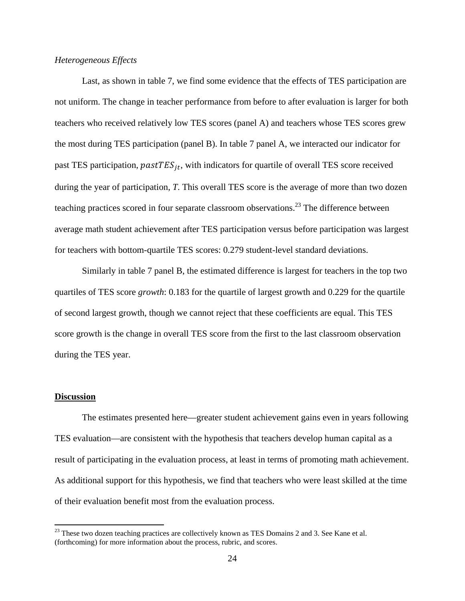## *Heterogeneous Effects*

Last, as shown in table 7, we find some evidence that the effects of TES participation are not uniform. The change in teacher performance from before to after evaluation is larger for both teachers who received relatively low TES scores (panel A) and teachers whose TES scores grew the most during TES participation (panel B). In table 7 panel A, we interacted our indicator for past TES participation,  $pastTES_{it}$ , with indicators for quartile of overall TES score received during the year of participation, *T*. This overall TES score is the average of more than two dozen teaching practices scored in four separate classroom observations.<sup>23</sup> The difference between average math student achievement after TES participation versus before participation was largest for teachers with bottom-quartile TES scores: 0.279 student-level standard deviations.

Similarly in table 7 panel B, the estimated difference is largest for teachers in the top two quartiles of TES score *growth*: 0.183 for the quartile of largest growth and 0.229 for the quartile of second largest growth, though we cannot reject that these coefficients are equal. This TES score growth is the change in overall TES score from the first to the last classroom observation during the TES year.

## **Discussion**

 The estimates presented here—greater student achievement gains even in years following TES evaluation—are consistent with the hypothesis that teachers develop human capital as a result of participating in the evaluation process, at least in terms of promoting math achievement. As additional support for this hypothesis, we find that teachers who were least skilled at the time of their evaluation benefit most from the evaluation process.

 $23$  These two dozen teaching practices are collectively known as TES Domains 2 and 3. See Kane et al. (forthcoming) for more information about the process, rubric, and scores.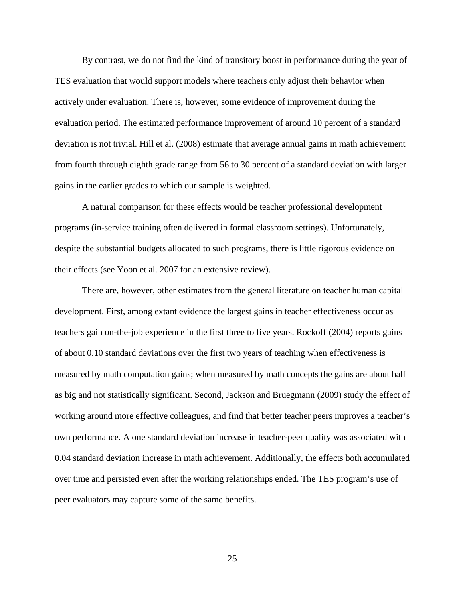By contrast, we do not find the kind of transitory boost in performance during the year of TES evaluation that would support models where teachers only adjust their behavior when actively under evaluation. There is, however, some evidence of improvement during the evaluation period. The estimated performance improvement of around 10 percent of a standard deviation is not trivial. Hill et al. (2008) estimate that average annual gains in math achievement from fourth through eighth grade range from 56 to 30 percent of a standard deviation with larger gains in the earlier grades to which our sample is weighted.

A natural comparison for these effects would be teacher professional development programs (in-service training often delivered in formal classroom settings). Unfortunately, despite the substantial budgets allocated to such programs, there is little rigorous evidence on their effects (see Yoon et al. 2007 for an extensive review).

There are, however, other estimates from the general literature on teacher human capital development. First, among extant evidence the largest gains in teacher effectiveness occur as teachers gain on-the-job experience in the first three to five years. Rockoff (2004) reports gains of about 0.10 standard deviations over the first two years of teaching when effectiveness is measured by math computation gains; when measured by math concepts the gains are about half as big and not statistically significant. Second, Jackson and Bruegmann (2009) study the effect of working around more effective colleagues, and find that better teacher peers improves a teacher's own performance. A one standard deviation increase in teacher-peer quality was associated with 0.04 standard deviation increase in math achievement. Additionally, the effects both accumulated over time and persisted even after the working relationships ended. The TES program's use of peer evaluators may capture some of the same benefits.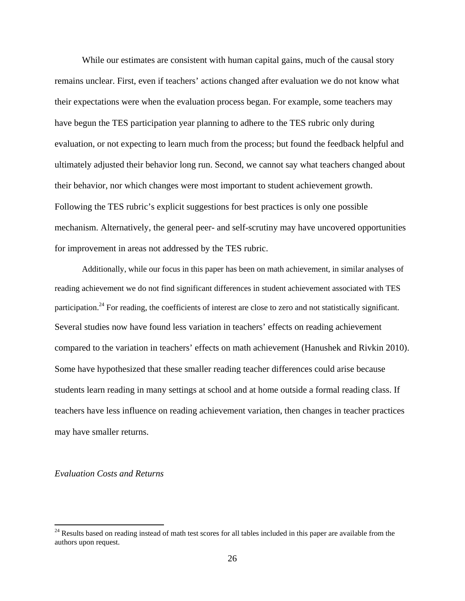While our estimates are consistent with human capital gains, much of the causal story remains unclear. First, even if teachers' actions changed after evaluation we do not know what their expectations were when the evaluation process began. For example, some teachers may have begun the TES participation year planning to adhere to the TES rubric only during evaluation, or not expecting to learn much from the process; but found the feedback helpful and ultimately adjusted their behavior long run. Second, we cannot say what teachers changed about their behavior, nor which changes were most important to student achievement growth. Following the TES rubric's explicit suggestions for best practices is only one possible mechanism. Alternatively, the general peer- and self-scrutiny may have uncovered opportunities for improvement in areas not addressed by the TES rubric.

Additionally, while our focus in this paper has been on math achievement, in similar analyses of reading achievement we do not find significant differences in student achievement associated with TES participation.<sup>24</sup> For reading, the coefficients of interest are close to zero and not statistically significant. Several studies now have found less variation in teachers' effects on reading achievement compared to the variation in teachers' effects on math achievement (Hanushek and Rivkin 2010). Some have hypothesized that these smaller reading teacher differences could arise because students learn reading in many settings at school and at home outside a formal reading class. If teachers have less influence on reading achievement variation, then changes in teacher practices may have smaller returns.

## *Evaluation Costs and Returns*

 $24$  Results based on reading instead of math test scores for all tables included in this paper are available from the authors upon request.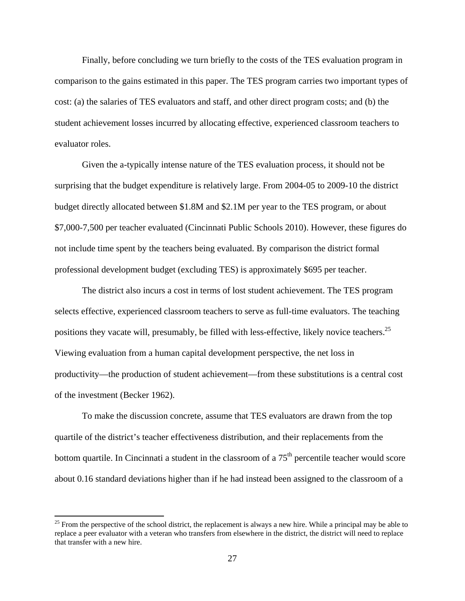Finally, before concluding we turn briefly to the costs of the TES evaluation program in comparison to the gains estimated in this paper. The TES program carries two important types of cost: (a) the salaries of TES evaluators and staff, and other direct program costs; and (b) the student achievement losses incurred by allocating effective, experienced classroom teachers to evaluator roles.

 Given the a-typically intense nature of the TES evaluation process, it should not be surprising that the budget expenditure is relatively large. From 2004-05 to 2009-10 the district budget directly allocated between \$1.8M and \$2.1M per year to the TES program, or about \$7,000-7,500 per teacher evaluated (Cincinnati Public Schools 2010). However, these figures do not include time spent by the teachers being evaluated. By comparison the district formal professional development budget (excluding TES) is approximately \$695 per teacher.

 The district also incurs a cost in terms of lost student achievement. The TES program selects effective, experienced classroom teachers to serve as full-time evaluators. The teaching positions they vacate will, presumably, be filled with less-effective, likely novice teachers.<sup>25</sup> Viewing evaluation from a human capital development perspective, the net loss in productivity—the production of student achievement—from these substitutions is a central cost of the investment (Becker 1962).

 To make the discussion concrete, assume that TES evaluators are drawn from the top quartile of the district's teacher effectiveness distribution, and their replacements from the bottom quartile. In Cincinnati a student in the classroom of a  $75<sup>th</sup>$  percentile teacher would score about 0.16 standard deviations higher than if he had instead been assigned to the classroom of a

 $25$  From the perspective of the school district, the replacement is always a new hire. While a principal may be able to replace a peer evaluator with a veteran who transfers from elsewhere in the district, the district will need to replace that transfer with a new hire.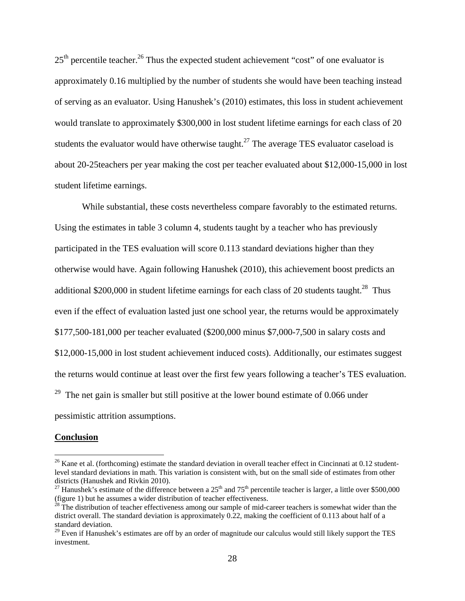$25<sup>th</sup>$  percentile teacher.<sup>26</sup> Thus the expected student achievement "cost" of one evaluator is approximately 0.16 multiplied by the number of students she would have been teaching instead of serving as an evaluator. Using Hanushek's (2010) estimates, this loss in student achievement would translate to approximately \$300,000 in lost student lifetime earnings for each class of 20 students the evaluator would have otherwise taught.<sup>27</sup> The average TES evaluator caseload is about 20-25teachers per year making the cost per teacher evaluated about \$12,000-15,000 in lost student lifetime earnings.

 While substantial, these costs nevertheless compare favorably to the estimated returns. Using the estimates in table 3 column 4, students taught by a teacher who has previously participated in the TES evaluation will score 0.113 standard deviations higher than they otherwise would have. Again following Hanushek (2010), this achievement boost predicts an additional \$200,000 in student lifetime earnings for each class of 20 students taught.<sup>28</sup> Thus even if the effect of evaluation lasted just one school year, the returns would be approximately \$177,500-181,000 per teacher evaluated (\$200,000 minus \$7,000-7,500 in salary costs and \$12,000-15,000 in lost student achievement induced costs). Additionally, our estimates suggest the returns would continue at least over the first few years following a teacher's TES evaluation. <sup>29</sup> The net gain is smaller but still positive at the lower bound estimate of 0.066 under pessimistic attrition assumptions.

#### **Conclusion**

 $26$  Kane et al. (forthcoming) estimate the standard deviation in overall teacher effect in Cincinnati at 0.12 studentlevel standard deviations in math. This variation is consistent with, but on the small side of estimates from other districts (Hanushek and Rivkin 2010).

<sup>&</sup>lt;sup>27</sup> Hanushek's estimate of the difference between a  $25<sup>th</sup>$  and  $75<sup>th</sup>$  percentile teacher is larger, a little over \$500,000 (figure 1) but he assumes a wider distribution of teacher effectiveness.

 $^{28}$  The distribution of teacher effectiveness among our sample of mid-career teachers is somewhat wider than the district overall. The standard deviation is approximately 0.22, making the coefficient of 0.113 about half of a standard deviation.

 $29$  Even if Hanushek's estimates are off by an order of magnitude our calculus would still likely support the TES investment.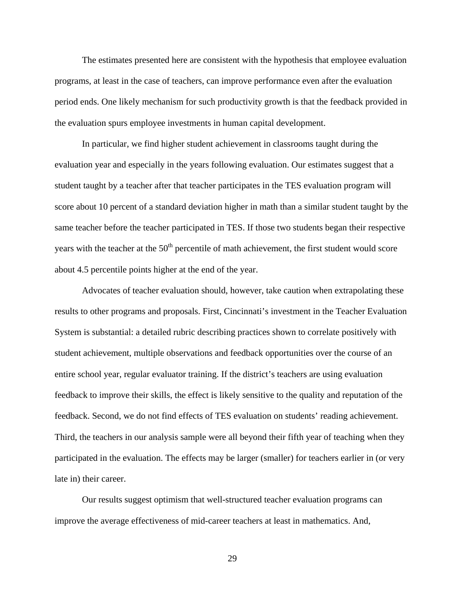The estimates presented here are consistent with the hypothesis that employee evaluation programs, at least in the case of teachers, can improve performance even after the evaluation period ends. One likely mechanism for such productivity growth is that the feedback provided in the evaluation spurs employee investments in human capital development.

In particular, we find higher student achievement in classrooms taught during the evaluation year and especially in the years following evaluation. Our estimates suggest that a student taught by a teacher after that teacher participates in the TES evaluation program will score about 10 percent of a standard deviation higher in math than a similar student taught by the same teacher before the teacher participated in TES. If those two students began their respective years with the teacher at the  $50<sup>th</sup>$  percentile of math achievement, the first student would score about 4.5 percentile points higher at the end of the year.

Advocates of teacher evaluation should, however, take caution when extrapolating these results to other programs and proposals. First, Cincinnati's investment in the Teacher Evaluation System is substantial: a detailed rubric describing practices shown to correlate positively with student achievement, multiple observations and feedback opportunities over the course of an entire school year, regular evaluator training. If the district's teachers are using evaluation feedback to improve their skills, the effect is likely sensitive to the quality and reputation of the feedback. Second, we do not find effects of TES evaluation on students' reading achievement. Third, the teachers in our analysis sample were all beyond their fifth year of teaching when they participated in the evaluation. The effects may be larger (smaller) for teachers earlier in (or very late in) their career.

Our results suggest optimism that well-structured teacher evaluation programs can improve the average effectiveness of mid-career teachers at least in mathematics. And,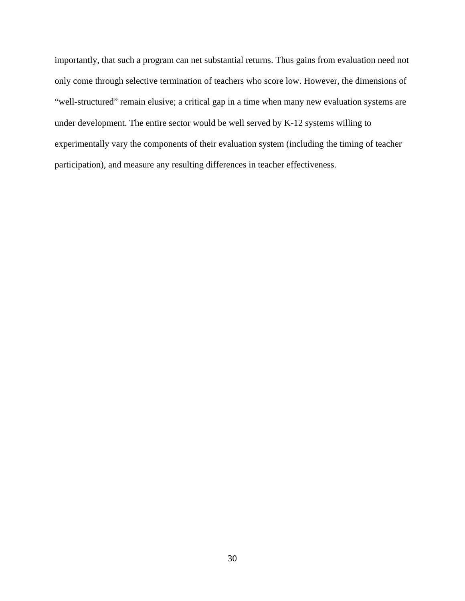importantly, that such a program can net substantial returns. Thus gains from evaluation need not only come through selective termination of teachers who score low. However, the dimensions of "well-structured" remain elusive; a critical gap in a time when many new evaluation systems are under development. The entire sector would be well served by K-12 systems willing to experimentally vary the components of their evaluation system (including the timing of teacher participation), and measure any resulting differences in teacher effectiveness.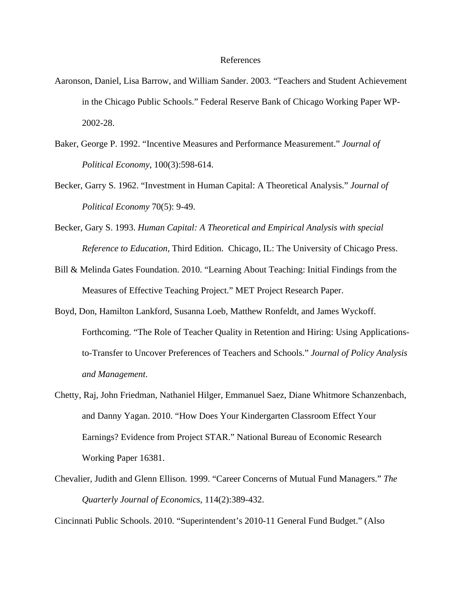## References

- Aaronson, Daniel, Lisa Barrow, and William Sander. 2003. "Teachers and Student Achievement in the Chicago Public Schools." Federal Reserve Bank of Chicago Working Paper WP-2002-28.
- Baker, George P. 1992. "Incentive Measures and Performance Measurement." *Journal of Political Economy*, 100(3):598-614.
- Becker, Garry S. 1962. "Investment in Human Capital: A Theoretical Analysis." *Journal of Political Economy* 70(5): 9-49.
- Becker, Gary S. 1993. *Human Capital: A Theoretical and Empirical Analysis with special Reference to Education,* Third Edition. Chicago, IL: The University of Chicago Press.
- Bill & Melinda Gates Foundation. 2010. "Learning About Teaching: Initial Findings from the Measures of Effective Teaching Project." MET Project Research Paper.
- Boyd, Don, Hamilton Lankford, Susanna Loeb, Matthew Ronfeldt, and James Wyckoff. Forthcoming. "The Role of Teacher Quality in Retention and Hiring: Using Applicationsto-Transfer to Uncover Preferences of Teachers and Schools." *Journal of Policy Analysis and Management*.
- Chetty, Raj, John Friedman, Nathaniel Hilger, Emmanuel Saez, Diane Whitmore Schanzenbach, and Danny Yagan. 2010. "How Does Your Kindergarten Classroom Effect Your Earnings? Evidence from Project STAR." National Bureau of Economic Research Working Paper 16381.
- Chevalier, Judith and Glenn Ellison. 1999. "Career Concerns of Mutual Fund Managers." *The Quarterly Journal of Economics*, 114(2):389-432.

Cincinnati Public Schools. 2010. "Superintendent's 2010-11 General Fund Budget." (Also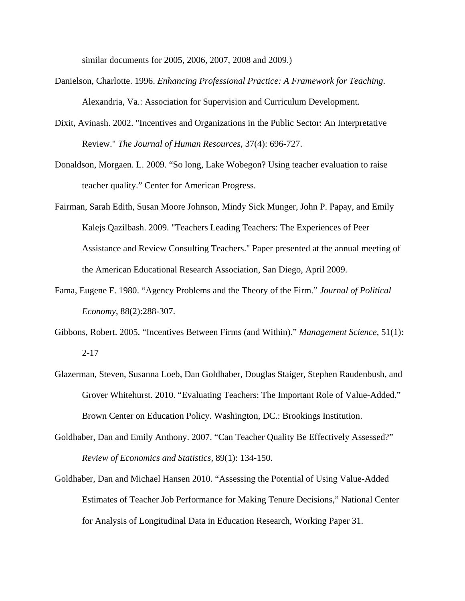similar documents for 2005, 2006, 2007, 2008 and 2009.)

- Danielson, Charlotte. 1996. *Enhancing Professional Practice: A Framework for Teaching*. Alexandria, Va.: Association for Supervision and Curriculum Development.
- Dixit, Avinash. 2002. "Incentives and Organizations in the Public Sector: An Interpretative Review." *The Journal of Human Resources,* 37(4): 696-727.
- Donaldson, Morgaen. L. 2009. "So long, Lake Wobegon? Using teacher evaluation to raise teacher quality." Center for American Progress.
- Fairman, Sarah Edith, Susan Moore Johnson, Mindy Sick Munger, John P. Papay, and Emily Kalejs Qazilbash. 2009. "Teachers Leading Teachers: The Experiences of Peer Assistance and Review Consulting Teachers." Paper presented at the annual meeting of the American Educational Research Association, San Diego, April 2009.
- Fama, Eugene F. 1980. "Agency Problems and the Theory of the Firm." *Journal of Political Economy*, 88(2):288-307.
- Gibbons, Robert. 2005. "Incentives Between Firms (and Within)." *Management Science*, 51(1): 2-17
- Glazerman, Steven, Susanna Loeb, Dan Goldhaber, Douglas Staiger, Stephen Raudenbush, and Grover Whitehurst. 2010. "Evaluating Teachers: The Important Role of Value-Added." Brown Center on Education Policy. Washington, DC.: Brookings Institution.
- Goldhaber, Dan and Emily Anthony. 2007. "Can Teacher Quality Be Effectively Assessed?" *Review of Economics and Statistics,* 89(1): 134-150.
- Goldhaber, Dan and Michael Hansen 2010. "Assessing the Potential of Using Value-Added Estimates of Teacher Job Performance for Making Tenure Decisions," National Center for Analysis of Longitudinal Data in Education Research, Working Paper 31.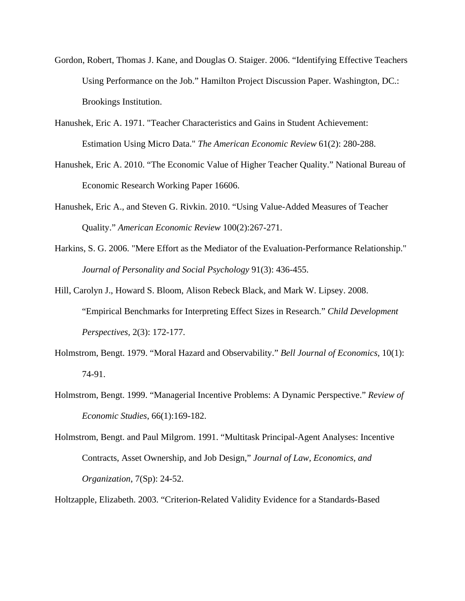- Gordon, Robert, Thomas J. Kane, and Douglas O. Staiger. 2006. "Identifying Effective Teachers Using Performance on the Job." Hamilton Project Discussion Paper. Washington, DC.: Brookings Institution.
- Hanushek, Eric A. 1971. "Teacher Characteristics and Gains in Student Achievement: Estimation Using Micro Data." *The American Economic Review* 61(2): 280-288.
- Hanushek, Eric A. 2010. "The Economic Value of Higher Teacher Quality." National Bureau of Economic Research Working Paper 16606.
- Hanushek, Eric A., and Steven G. Rivkin. 2010. "Using Value-Added Measures of Teacher Quality." *American Economic Review* 100(2):267-271.
- Harkins, S. G. 2006. "Mere Effort as the Mediator of the Evaluation-Performance Relationship." *Journal of Personality and Social Psychology* 91(3): 436-455.
- Hill, Carolyn J., Howard S. Bloom, Alison Rebeck Black, and Mark W. Lipsey. 2008. "Empirical Benchmarks for Interpreting Effect Sizes in Research." *Child Development Perspectives,* 2(3): 172-177.
- Holmstrom, Bengt. 1979. "Moral Hazard and Observability." *Bell Journal of Economics,* 10(1): 74-91.
- Holmstrom, Bengt. 1999. "Managerial Incentive Problems: A Dynamic Perspective." *Review of Economic Studies*, 66(1):169-182.
- Holmstrom, Bengt. and Paul Milgrom. 1991. "Multitask Principal-Agent Analyses: Incentive Contracts, Asset Ownership, and Job Design," *Journal of Law, Economics, and Organization*, 7(Sp): 24-52.

Holtzapple, Elizabeth. 2003. "Criterion-Related Validity Evidence for a Standards-Based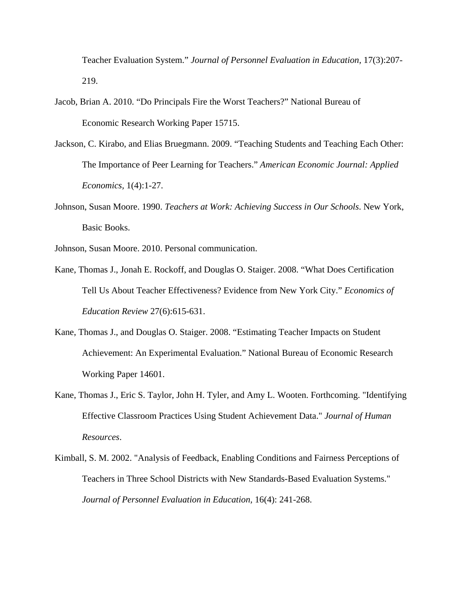Teacher Evaluation System." *Journal of Personnel Evaluation in Education,* 17(3):207- 219.

- Jacob, Brian A. 2010. "Do Principals Fire the Worst Teachers?" National Bureau of Economic Research Working Paper 15715.
- Jackson, C. Kirabo, and Elias Bruegmann. 2009. "Teaching Students and Teaching Each Other: The Importance of Peer Learning for Teachers." *American Economic Journal: Applied Economics,* 1(4):1-27.
- Johnson, Susan Moore. 1990. *Teachers at Work: Achieving Success in Our Schools*. New York, Basic Books.

Johnson, Susan Moore. 2010. Personal communication.

- Kane, Thomas J., Jonah E. Rockoff, and Douglas O. Staiger. 2008. "What Does Certification Tell Us About Teacher Effectiveness? Evidence from New York City." *Economics of Education Review* 27(6):615-631.
- Kane, Thomas J., and Douglas O. Staiger. 2008. "Estimating Teacher Impacts on Student Achievement: An Experimental Evaluation." National Bureau of Economic Research Working Paper 14601.
- Kane, Thomas J., Eric S. Taylor, John H. Tyler, and Amy L. Wooten. Forthcoming. "Identifying Effective Classroom Practices Using Student Achievement Data." *Journal of Human Resources*.
- Kimball, S. M. 2002. "Analysis of Feedback, Enabling Conditions and Fairness Perceptions of Teachers in Three School Districts with New Standards-Based Evaluation Systems." *Journal of Personnel Evaluation in Education,* 16(4): 241-268.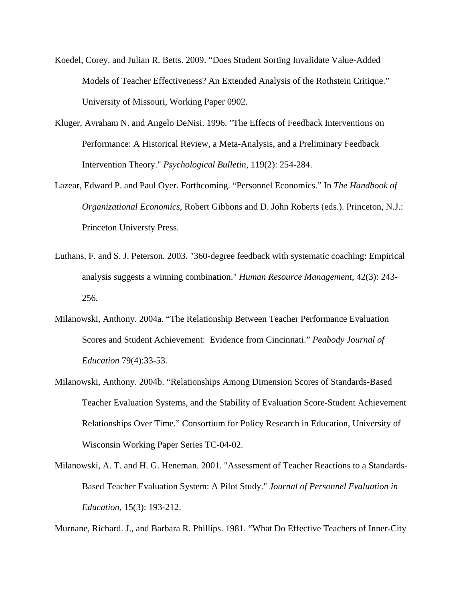- Koedel, Corey. and Julian R. Betts. 2009. "Does Student Sorting Invalidate Value-Added Models of Teacher Effectiveness? An Extended Analysis of the Rothstein Critique." University of Missouri, Working Paper 0902.
- Kluger, Avraham N. and Angelo DeNisi. 1996. "The Effects of Feedback Interventions on Performance: A Historical Review, a Meta-Analysis, and a Preliminary Feedback Intervention Theory." *Psychological Bulletin,* 119(2): 254-284.
- Lazear, Edward P. and Paul Oyer. Forthcoming. "Personnel Economics." In *The Handbook of Organizational Economics,* Robert Gibbons and D. John Roberts (eds.). Princeton, N.J.: Princeton Universty Press.
- Luthans, F. and S. J. Peterson. 2003. "360-degree feedback with systematic coaching: Empirical analysis suggests a winning combination." *Human Resource Management,* 42(3): 243- 256.
- Milanowski, Anthony. 2004a. "The Relationship Between Teacher Performance Evaluation Scores and Student Achievement: Evidence from Cincinnati." *Peabody Journal of Education* 79(4):33-53.
- Milanowski, Anthony. 2004b. "Relationships Among Dimension Scores of Standards-Based Teacher Evaluation Systems, and the Stability of Evaluation Score-Student Achievement Relationships Over Time." Consortium for Policy Research in Education, University of Wisconsin Working Paper Series TC-04-02.
- Milanowski, A. T. and H. G. Heneman. 2001. "Assessment of Teacher Reactions to a Standards-Based Teacher Evaluation System: A Pilot Study." *Journal of Personnel Evaluation in Education,* 15(3): 193-212.

Murnane, Richard. J., and Barbara R. Phillips. 1981. "What Do Effective Teachers of Inner-City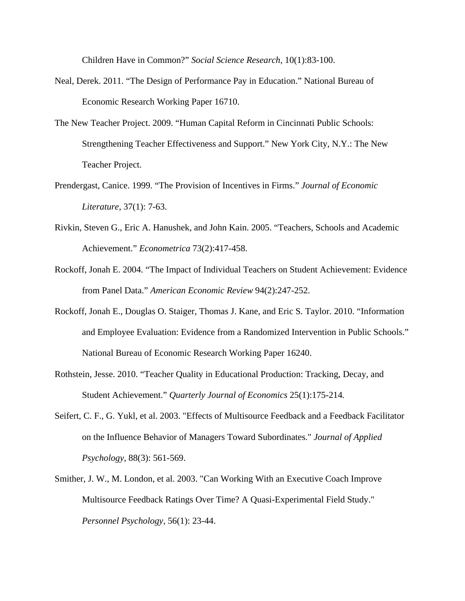Children Have in Common?" *Social Science Research,* 10(1):83-100.

- Neal, Derek. 2011. "The Design of Performance Pay in Education." National Bureau of Economic Research Working Paper 16710.
- The New Teacher Project. 2009. "Human Capital Reform in Cincinnati Public Schools: Strengthening Teacher Effectiveness and Support." New York City, N.Y.: The New Teacher Project.
- Prendergast, Canice. 1999. "The Provision of Incentives in Firms." *Journal of Economic Literature*, 37(1): 7-63.
- Rivkin, Steven G., Eric A. Hanushek, and John Kain. 2005. "Teachers, Schools and Academic Achievement." *Econometrica* 73(2):417-458.
- Rockoff, Jonah E. 2004. "The Impact of Individual Teachers on Student Achievement: Evidence from Panel Data." *American Economic Review* 94(2):247-252.
- Rockoff, Jonah E., Douglas O. Staiger, Thomas J. Kane, and Eric S. Taylor. 2010. "Information and Employee Evaluation: Evidence from a Randomized Intervention in Public Schools." National Bureau of Economic Research Working Paper 16240.
- Rothstein, Jesse. 2010. "Teacher Quality in Educational Production: Tracking, Decay, and Student Achievement." *Quarterly Journal of Economics* 25(1):175-214*.*
- Seifert, C. F., G. Yukl, et al. 2003. "Effects of Multisource Feedback and a Feedback Facilitator on the Influence Behavior of Managers Toward Subordinates." *Journal of Applied Psychology,* 88(3): 561-569.
- Smither, J. W., M. London, et al. 2003. "Can Working With an Executive Coach Improve Multisource Feedback Ratings Over Time? A Quasi-Experimental Field Study." *Personnel Psychology,* 56(1): 23-44.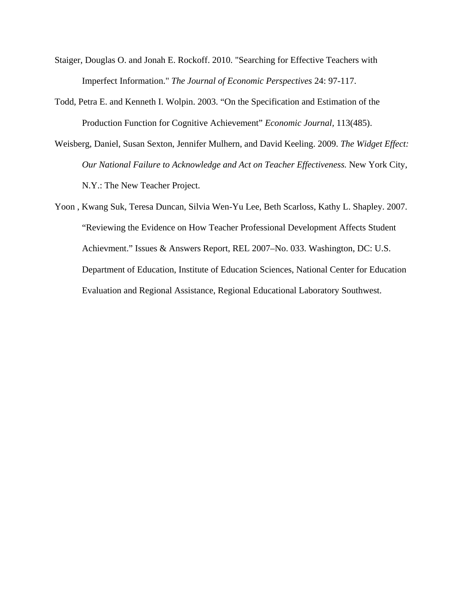- Staiger, Douglas O. and Jonah E. Rockoff. 2010. "Searching for Effective Teachers with Imperfect Information." *The Journal of Economic Perspectives* 24: 97-117.
- Todd, Petra E. and Kenneth I. Wolpin. 2003. "On the Specification and Estimation of the Production Function for Cognitive Achievement" *Economic Journal,* 113(485).
- Weisberg, Daniel, Susan Sexton, Jennifer Mulhern, and David Keeling. 2009. *The Widget Effect: Our National Failure to Acknowledge and Act on Teacher Effectiveness.* New York City, N.Y.: The New Teacher Project.
- Yoon , Kwang Suk, Teresa Duncan, Silvia Wen-Yu Lee, Beth Scarloss, Kathy L. Shapley. 2007. "Reviewing the Evidence on How Teacher Professional Development Affects Student Achievment." Issues & Answers Report, REL 2007–No. 033. Washington, DC: U.S. Department of Education, Institute of Education Sciences, National Center for Education Evaluation and Regional Assistance, Regional Educational Laboratory Southwest.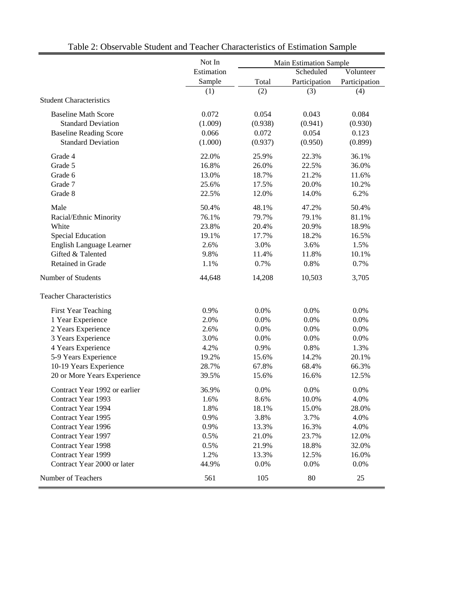|                                | Not In     | <b>Main Estimation Sample</b> |               |               |  |
|--------------------------------|------------|-------------------------------|---------------|---------------|--|
|                                | Estimation |                               | Scheduled     | Volunteer     |  |
|                                | Sample     | Total                         | Participation | Participation |  |
|                                | (1)        | (2)                           | (3)           | (4)           |  |
| <b>Student Characteristics</b> |            |                               |               |               |  |
| <b>Baseline Math Score</b>     | 0.072      | 0.054                         | 0.043         | 0.084         |  |
| <b>Standard Deviation</b>      | (1.009)    | (0.938)                       | (0.941)       | (0.930)       |  |
| <b>Baseline Reading Score</b>  | 0.066      | 0.072                         | 0.054         | 0.123         |  |
| <b>Standard Deviation</b>      | (1.000)    | (0.937)                       | (0.950)       | (0.899)       |  |
| Grade 4                        | 22.0%      | 25.9%                         | 22.3%         | 36.1%         |  |
| Grade 5                        | 16.8%      | 26.0%                         | 22.5%         | 36.0%         |  |
| Grade 6                        | 13.0%      | 18.7%                         | 21.2%         | 11.6%         |  |
| Grade 7                        | 25.6%      | 17.5%                         | 20.0%         | 10.2%         |  |
| Grade 8                        | 22.5%      | 12.0%                         | 14.0%         | 6.2%          |  |
| Male                           | 50.4%      | 48.1%                         | 47.2%         | 50.4%         |  |
| Racial/Ethnic Minority         | 76.1%      | 79.7%                         | 79.1%         | 81.1%         |  |
| White                          | 23.8%      | 20.4%                         | 20.9%         | 18.9%         |  |
| <b>Special Education</b>       | 19.1%      | 17.7%                         | 18.2%         | 16.5%         |  |
| English Language Learner       | 2.6%       | 3.0%                          | 3.6%          | 1.5%          |  |
| Gifted & Talented              | 9.8%       | 11.4%                         | 11.8%         | 10.1%         |  |
| Retained in Grade              | 1.1%       | 0.7%                          | 0.8%          | 0.7%          |  |
| Number of Students             | 44,648     | 14,208                        | 10,503        | 3,705         |  |
| <b>Teacher Characteristics</b> |            |                               |               |               |  |
| <b>First Year Teaching</b>     | 0.9%       | 0.0%                          | 0.0%          | 0.0%          |  |
| 1 Year Experience              | 2.0%       | 0.0%                          | 0.0%          | 0.0%          |  |
| 2 Years Experience             | 2.6%       | 0.0%                          | 0.0%          | 0.0%          |  |
| 3 Years Experience             | 3.0%       | 0.0%                          | 0.0%          | 0.0%          |  |
| 4 Years Experience             | 4.2%       | 0.9%                          | 0.8%          | 1.3%          |  |
| 5-9 Years Experience           | 19.2%      | 15.6%                         | 14.2%         | 20.1%         |  |
| 10-19 Years Experience         | 28.7%      | 67.8%                         | 68.4%         | 66.3%         |  |
| 20 or More Years Experience    | 39.5%      | 15.6%                         | 16.6%         | 12.5%         |  |
| Contract Year 1992 or earlier  | 36.9%      | 0.0%                          | 0.0%          | 0.0%          |  |
| Contract Year 1993             | 1.6%       | 8.6%                          | 10.0%         | 4.0%          |  |
| Contract Year 1994             | 1.8%       | 18.1%                         | 15.0%         | 28.0%         |  |
| Contract Year 1995             | 0.9%       | 3.8%                          | 3.7%          | 4.0%          |  |
| Contract Year 1996             | 0.9%       | 13.3%                         | 16.3%         | 4.0%          |  |
| Contract Year 1997             | 0.5%       | 21.0%                         | 23.7%         | 12.0%         |  |
| Contract Year 1998             | 0.5%       | 21.9%                         | 18.8%         | 32.0%         |  |
| Contract Year 1999             | 1.2%       | 13.3%                         | 12.5%         | 16.0%         |  |
| Contract Year 2000 or later    | 44.9%      | 0.0%                          | 0.0%          | 0.0%          |  |
| Number of Teachers             | 561        | 105                           | 80            | 25            |  |

# Table 2: Observable Student and Teacher Characteristics of Estimation Sample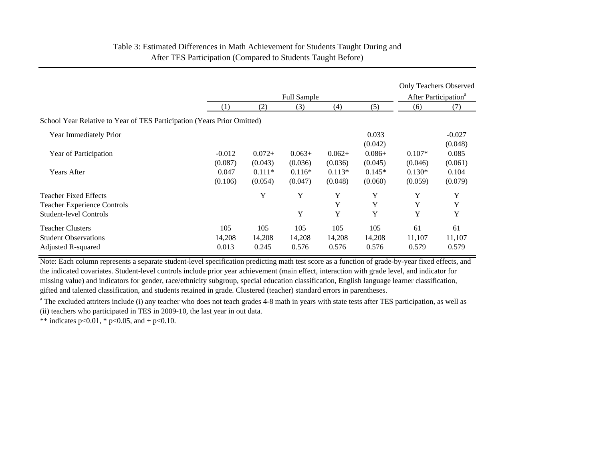# Table 3: Estimated Differences in Math Achievement for Students Taught During and After TES Participation (Compared to Students Taught Before)

|                                                                                              |                        |                        | <b>Full Sample</b>     |                        |                        |                       | <b>Only Teachers Observed</b><br>After Participation <sup>a</sup> |
|----------------------------------------------------------------------------------------------|------------------------|------------------------|------------------------|------------------------|------------------------|-----------------------|-------------------------------------------------------------------|
|                                                                                              | (1)                    | (2)                    | (3)                    | (4)                    | (5)                    | (6)                   | (7)                                                               |
| School Year Relative to Year of TES Participation (Years Prior Omitted)                      |                        |                        |                        |                        |                        |                       |                                                                   |
| Year Immediately Prior                                                                       |                        |                        |                        |                        | 0.033<br>(0.042)       |                       | $-0.027$<br>(0.048)                                               |
| Year of Participation                                                                        | $-0.012$<br>(0.087)    | $0.072+$<br>(0.043)    | $0.063+$<br>(0.036)    | $0.062+$<br>(0.036)    | $0.086+$<br>(0.045)    | $0.107*$<br>(0.046)   | 0.085<br>(0.061)                                                  |
| <b>Years After</b>                                                                           | 0.047<br>(0.106)       | $0.111*$<br>(0.054)    | $0.116*$<br>(0.047)    | $0.113*$<br>(0.048)    | $0.145*$<br>(0.060)    | $0.130*$<br>(0.059)   | 0.104<br>(0.079)                                                  |
| Teacher Fixed Effects<br><b>Teacher Experience Controls</b><br><b>Student-level Controls</b> |                        | Y                      | Y<br>Y                 | Y<br>Y<br>Y            | Y<br>Y<br>Y            | Y<br>Y<br>Y           | Y<br>Y<br>Y                                                       |
| Teacher Clusters<br><b>Student Observations</b><br>Adjusted R-squared                        | 105<br>14,208<br>0.013 | 105<br>14,208<br>0.245 | 105<br>14,208<br>0.576 | 105<br>14,208<br>0.576 | 105<br>14,208<br>0.576 | 61<br>11,107<br>0.579 | 61<br>11,107<br>0.579                                             |

Note: Each column represents a separate student-level specification predicting math test score as a function of grade-by-year fixed effects, and the indicated covariates. Student-level controls include prior year achievement (main effect, interaction with grade level, and indicator for missing value) and indicators for gender, race/ethnicity subgroup, special education classification, English language learner classification, gifted and talented classification, and students retained in grade. Clustered (teacher) standard errors in parentheses.

<sup>a</sup> The excluded attriters include (i) any teacher who does not teach grades 4-8 math in years with state tests after TES participation, as well as (ii) teachers who participated in TES in 2009-10, the last year in out data.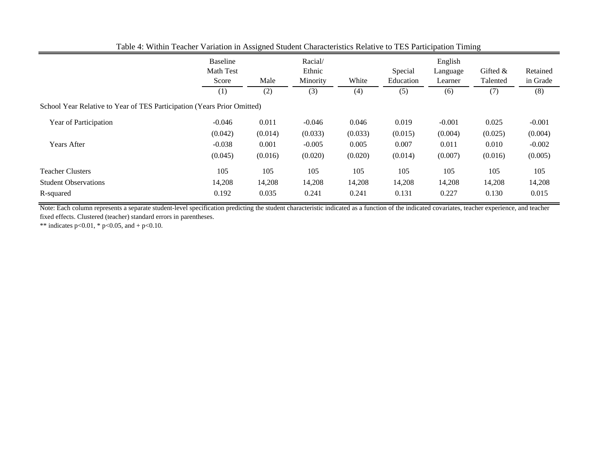|                                                                         | Baseline<br>Math Test<br>Score<br>(1) | Male<br>(2) | Racial/<br>Ethnic<br>Minority<br>(3) | White<br>(4) | Special<br>Education<br>(5) | English<br>Language<br>Learner<br>(6) | Gifted $&$<br>Talented<br>(7) | Retained<br>in Grade<br>(8) |
|-------------------------------------------------------------------------|---------------------------------------|-------------|--------------------------------------|--------------|-----------------------------|---------------------------------------|-------------------------------|-----------------------------|
| School Year Relative to Year of TES Participation (Years Prior Omitted) |                                       |             |                                      |              |                             |                                       |                               |                             |
| Year of Participation                                                   | $-0.046$                              | 0.011       | $-0.046$                             | 0.046        | 0.019                       | $-0.001$                              | 0.025                         | $-0.001$                    |
|                                                                         | (0.042)                               | (0.014)     | (0.033)                              | (0.033)      | (0.015)                     | (0.004)                               | (0.025)                       | (0.004)                     |
| <b>Years After</b>                                                      | $-0.038$                              | 0.001       | $-0.005$                             | 0.005        | 0.007                       | 0.011                                 | 0.010                         | $-0.002$                    |
|                                                                         | (0.045)                               | (0.016)     | (0.020)                              | (0.020)      | (0.014)                     | (0.007)                               | (0.016)                       | (0.005)                     |
| <b>Teacher Clusters</b>                                                 | 105                                   | 105         | 105                                  | 105          | 105                         | 105                                   | 105                           | 105                         |
| <b>Student Observations</b>                                             | 14,208                                | 14,208      | 14,208                               | 14,208       | 14,208                      | 14,208                                | 14,208                        | 14,208                      |
| R-squared                                                               | 0.192                                 | 0.035       | 0.241                                | 0.241        | 0.131                       | 0.227                                 | 0.130                         | 0.015                       |

Table 4: Within Teacher Variation in Assigned Student Characteristics Relative to TES Participation Timing

Note: Each column represents a separate student-level specification predicting the student characteristic indicated as a function of the indicated covariates, teacher experience, and teacher fixed effects. Clustered (teacher) standard errors in parentheses.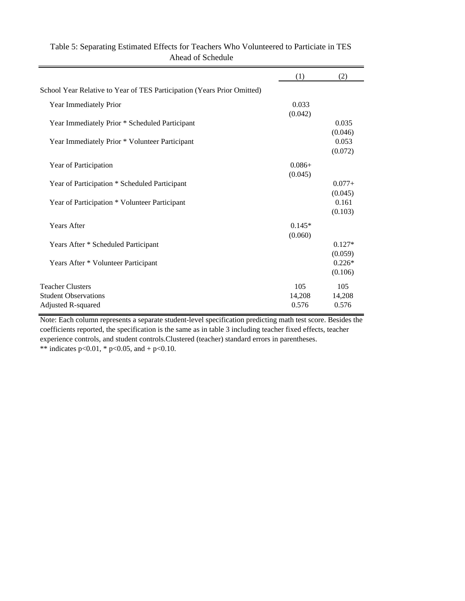|                                                                         | (1)             | (2)                 |
|-------------------------------------------------------------------------|-----------------|---------------------|
| School Year Relative to Year of TES Participation (Years Prior Omitted) |                 |                     |
| Year Immediately Prior                                                  | 0.033           |                     |
|                                                                         | (0.042)         |                     |
| Year Immediately Prior * Scheduled Participant                          |                 | 0.035               |
| Year Immediately Prior * Volunteer Participant                          |                 | (0.046)<br>0.053    |
|                                                                         |                 | (0.072)             |
| Year of Participation                                                   | $0.086+$        |                     |
|                                                                         | (0.045)         |                     |
| Year of Participation * Scheduled Participant                           |                 | $0.077+$            |
|                                                                         |                 | (0.045)             |
| Year of Participation * Volunteer Participant                           |                 | 0.161               |
|                                                                         |                 | (0.103)             |
| <b>Years After</b>                                                      | $0.145*$        |                     |
|                                                                         | (0.060)         |                     |
| Years After * Scheduled Participant                                     |                 | $0.127*$            |
|                                                                         |                 | (0.059)             |
| Years After * Volunteer Participant                                     |                 | $0.226*$<br>(0.106) |
|                                                                         |                 |                     |
| <b>Teacher Clusters</b>                                                 | 105             | 105                 |
| <b>Student Observations</b>                                             | 14,208<br>0.576 | 14,208<br>0.576     |
| Adjusted R-squared                                                      |                 |                     |

# Table 5: Separating Estimated Effects for Teachers Who Volunteered to Particiate in TES Ahead of Schedule

Note: Each column represents a separate student-level specification predicting math test score. Besides the coefficients reported, the specification is the same as in table 3 including teacher fixed effects, teacher experience controls, and student controls.Clustered (teacher) standard errors in parentheses.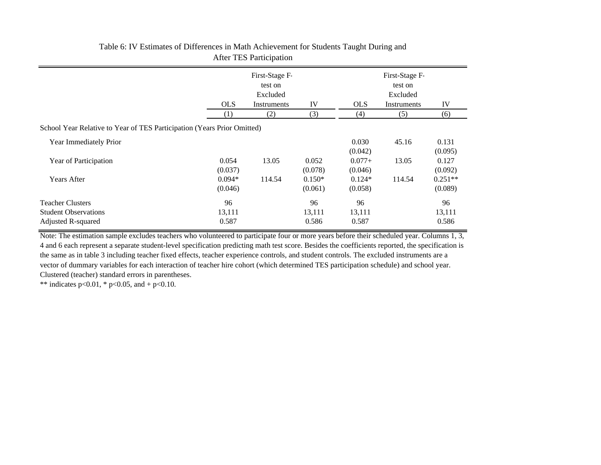|                                                                         | First-Stage F-<br>test on<br>Excluded |             |                     | First-Stage F-<br>test on<br>Excluded |             |                      |  |
|-------------------------------------------------------------------------|---------------------------------------|-------------|---------------------|---------------------------------------|-------------|----------------------|--|
|                                                                         |                                       |             |                     |                                       |             |                      |  |
|                                                                         | <b>OLS</b>                            | Instruments | IV                  | <b>OLS</b>                            | Instruments | IV                   |  |
|                                                                         | (1)                                   | (2)         | (3)                 | (4)                                   | (5)         | (6)                  |  |
| School Year Relative to Year of TES Participation (Years Prior Omitted) |                                       |             |                     |                                       |             |                      |  |
| Year Immediately Prior                                                  |                                       |             |                     | 0.030<br>(0.042)                      | 45.16       | 0.131<br>(0.095)     |  |
| Year of Participation                                                   | 0.054<br>(0.037)                      | 13.05       | 0.052<br>(0.078)    | $0.077 +$<br>(0.046)                  | 13.05       | 0.127<br>(0.092)     |  |
| <b>Years After</b>                                                      | $0.094*$<br>(0.046)                   | 114.54      | $0.150*$<br>(0.061) | $0.124*$<br>(0.058)                   | 114.54      | $0.251**$<br>(0.089) |  |
| <b>Teacher Clusters</b>                                                 | 96                                    |             | 96                  | 96                                    |             | 96                   |  |
| <b>Student Observations</b>                                             | 13,111                                |             | 13,111              | 13,111                                |             | 13,111               |  |
| Adjusted R-squared                                                      | 0.587                                 |             | 0.586               | 0.587                                 |             | 0.586                |  |

## Table 6: IV Estimates of Differences in Math Achievement for Students Taught During and After TES Participation

Note: The estimation sample excludes teachers who volunteered to participate four or more years before their scheduled year. Columns 1, 3, 4 and 6 each represent a separate student-level specification predicting math test score. Besides the coefficients reported, the specification is the same as in table 3 including teacher fixed effects, teacher experience controls, and student controls. The excluded instruments are a vector of dummary variables for each interaction of teacher hire cohort (which determined TES participation schedule) and school year. Clustered (teacher) standard errors in parentheses.